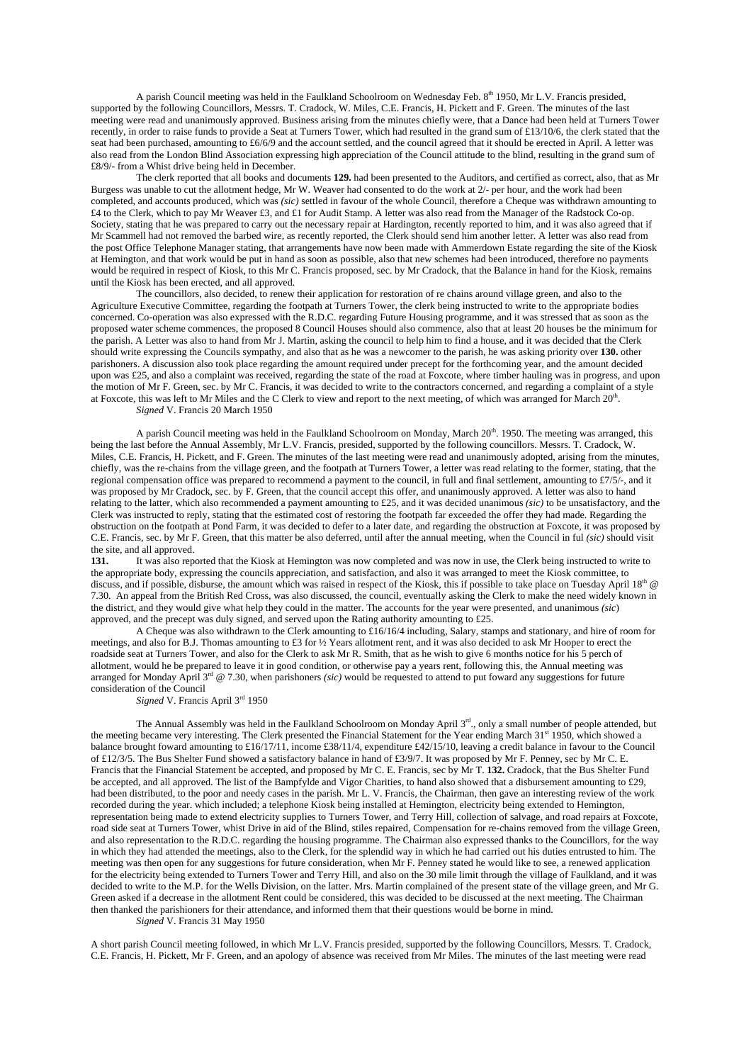A parish Council meeting was held in the Faulkland Schoolroom on Wednesday Feb. 8<sup>th</sup> 1950, Mr L.V. Francis presided, supported by the following Councillors, Messrs. T. Cradock, W. Miles, C.E. Francis, H. Pickett and F. Green. The minutes of the last meeting were read and unanimously approved. Business arising from the minutes chiefly were, that a Dance had been held at Turners Tower recently, in order to raise funds to provide a Seat at Turners Tower, which had resulted in the grand sum of £13/10/6, the clerk stated that the seat had been purchased, amounting to £6/6/9 and the account settled, and the council agreed that it should be erected in April. A letter was also read from the London Blind Association expressing high appreciation of the Council attitude to the blind, resulting in the grand sum of £8/9/- from a Whist drive being held in December.

The clerk reported that all books and documents **129.** had been presented to the Auditors, and certified as correct, also, that as Mr Burgess was unable to cut the allotment hedge, Mr W. Weaver had consented to do the work at 2/- per hour, and the work had been completed, and accounts produced, which was *(sic)* settled in favour of the whole Council, therefore a Cheque was withdrawn amounting to £4 to the Clerk, which to pay Mr Weaver £3, and £1 for Audit Stamp. A letter was also read from the Manager of the Radstock Co-op. Society, stating that he was prepared to carry out the necessary repair at Hardington, recently reported to him, and it was also agreed that if Mr Scammell had not removed the barbed wire, as recently reported, the Clerk should send him another letter. A letter was also read from the post Office Telephone Manager stating, that arrangements have now been made with Ammerdown Estate regarding the site of the Kiosk at Hemington, and that work would be put in hand as soon as possible, also that new schemes had been introduced, therefore no payments would be required in respect of Kiosk, to this Mr C. Francis proposed, sec. by Mr Cradock, that the Balance in hand for the Kiosk, remains until the Kiosk has been erected, and all approved.

The councillors, also decided, to renew their application for restoration of re chains around village green, and also to the Agriculture Executive Committee, regarding the footpath at Turners Tower, the clerk being instructed to write to the appropriate bodies concerned. Co-operation was also expressed with the R.D.C. regarding Future Housing programme, and it was stressed that as soon as the proposed water scheme commences, the proposed 8 Council Houses should also commence, also that at least 20 houses be the minimum for the parish. A Letter was also to hand from Mr J. Martin, asking the council to help him to find a house, and it was decided that the Clerk should write expressing the Councils sympathy, and also that as he was a newcomer to the parish, he was asking priority over **130.** other parishoners. A discussion also took place regarding the amount required under precept for the forthcoming year, and the amount decided upon was £25, and also a complaint was received, regarding the state of the road at Foxcote, where timber hauling was in progress, and upon the motion of Mr F. Green, sec. by Mr C. Francis, it was decided to write to the contractors concerned, and regarding a complaint of a style at Foxcote, this was left to Mr Miles and the C Clerk to view and report to the next meeting, of which was arranged for March 20<sup>th</sup>. *Signed* V. Francis 20 March 1950

A parish Council meeting was held in the Faulkland Schoolroom on Monday, March 20<sup>th</sup>. 1950. The meeting was arranged, this being the last before the Annual Assembly, Mr L.V. Francis, presided, supported by the following councillors. Messrs. T. Cradock, W. Miles, C.E. Francis, H. Pickett, and F. Green. The minutes of the last meeting were read and unanimously adopted, arising from the minutes, chiefly, was the re-chains from the village green, and the footpath at Turners Tower, a letter was read relating to the former, stating, that the regional compensation office was prepared to recommend a payment to the council, in full and final settlement, amounting to £7/5/-, and it was proposed by Mr Cradock, sec. by F. Green, that the council accept this offer, and unanimously approved. A letter was also to hand relating to the latter, which also recommended a payment amounting to £25, and it was decided unanimous *(sic)* to be unsatisfactory, and the Clerk was instructed to reply, stating that the estimated cost of restoring the footpath far exceeded the offer they had made. Regarding the obstruction on the footpath at Pond Farm, it was decided to defer to a later date, and regarding the obstruction at Foxcote, it was proposed by C.E. Francis, sec. by Mr F. Green, that this matter be also deferred, until after the annual meeting, when the Council in ful *(sic)* should visit the site, and all approved.<br>131. It was also rep

**131.** It was also reported that the Kiosk at Hemington was now completed and was now in use, the Clerk being instructed to write to the appropriate body, expressing the councils appreciation, and satisfaction, and also it was arranged to meet the Kiosk committee, to discuss, and if possible, disburse, the amount which was raised in respect of the Kiosk, this if possible to take place on Tuesday April  $18<sup>th</sup>$  @ 7.30. An appeal from the British Red Cross, was also discussed, the council, eventually asking the Clerk to make the need widely known in the district, and they would give what help they could in the matter. The accounts for the year were presented, and unanimous *(sic*) approved, and the precept was duly signed, and served upon the Rating authority amounting to £25.

A Cheque was also withdrawn to the Clerk amounting to £16/16/4 including, Salary, stamps and stationary, and hire of room for meetings, and also for B.J. Thomas amounting to £3 for ½ Years allotment rent, and it was also decided to ask Mr Hooper to erect the roadside seat at Turners Tower, and also for the Clerk to ask Mr R. Smith, that as he wish to give 6 months notice for his 5 perch of allotment, would he be prepared to leave it in good condition, or otherwise pay a years rent, following this, the Annual meeting was arranged for Monday April  $3<sup>rd</sup> \& 7.30$ , when parishoners *(sic)* would be requested to attend to put foward any suggestions for future consideration of the Council

# *Signed* V. Francis April 3rd 1950

The Annual Assembly was held in the Faulkland Schoolroom on Monday April 3<sup>rd</sup>., only a small number of people attended, but the meeting became very interesting. The Clerk presented the Financial Statement for the Year ending March 31st 1950, which showed a balance brought foward amounting to £16/17/11, income £38/11/4, expenditure £42/15/10, leaving a credit balance in favour to the Council of £12/3/5. The Bus Shelter Fund showed a satisfactory balance in hand of £3/9/7. It was proposed by Mr F. Penney, sec by Mr C. E. Francis that the Financial Statement be accepted, and proposed by Mr C. E. Francis, sec by Mr T. **132.** Cradock, that the Bus Shelter Fund be accepted, and all approved. The list of the Bampfylde and Vigor Charities, to hand also showed that a disbursement amounting to £29, had been distributed, to the poor and needy cases in the parish. Mr L. V. Francis, the Chairman, then gave an interesting review of the work recorded during the year. which included; a telephone Kiosk being installed at Hemington, electricity being extended to Hemington, representation being made to extend electricity supplies to Turners Tower, and Terry Hill, collection of salvage, and road repairs at Foxcote, road side seat at Turners Tower, whist Drive in aid of the Blind, stiles repaired, Compensation for re-chains removed from the village Green, and also representation to the R.D.C. regarding the housing programme. The Chairman also expressed thanks to the Councillors, for the way in which they had attended the meetings, also to the Clerk, for the splendid way in which he had carried out his duties entrusted to him. The meeting was then open for any suggestions for future consideration, when Mr F. Penney stated he would like to see, a renewed application for the electricity being extended to Turners Tower and Terry Hill, and also on the 30 mile limit through the village of Faulkland, and it was decided to write to the M.P. for the Wells Division, on the latter. Mrs. Martin complained of the present state of the village green, and Mr G. Green asked if a decrease in the allotment Rent could be considered, this was decided to be discussed at the next meeting. The Chairman then thanked the parishioners for their attendance, and informed them that their questions would be borne in mind.

*Signed* V. Francis 31 May 1950

A short parish Council meeting followed, in which Mr L.V. Francis presided, supported by the following Councillors, Messrs. T. Cradock, C.E. Francis, H. Pickett, Mr F. Green, and an apology of absence was received from Mr Miles. The minutes of the last meeting were read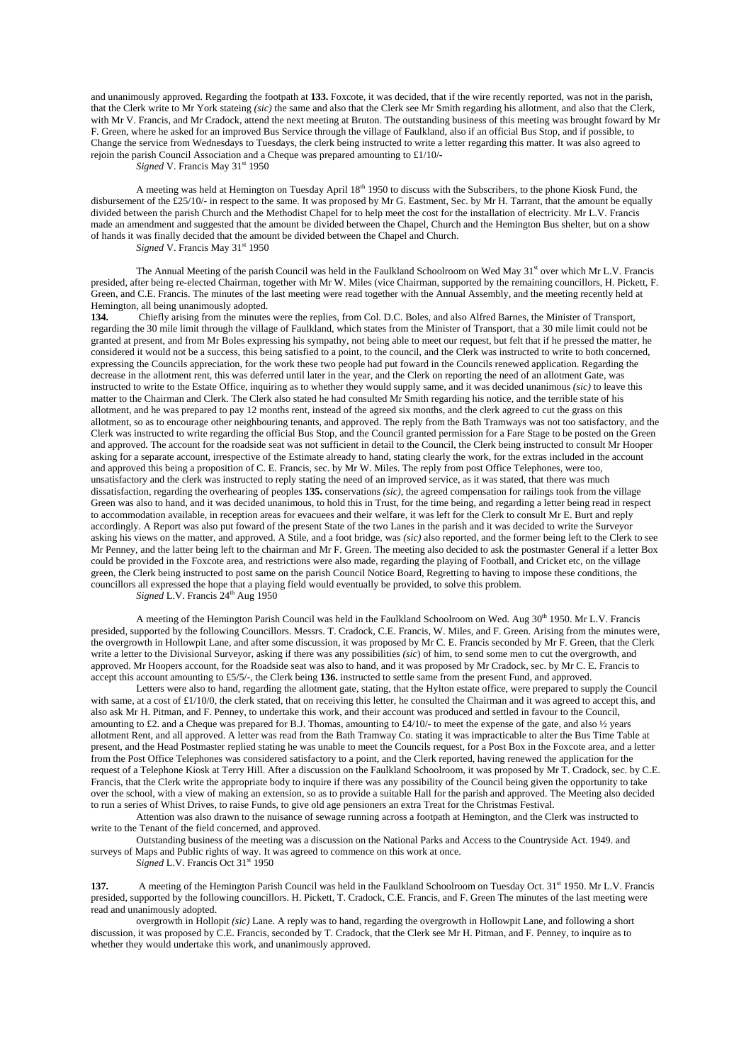and unanimously approved. Regarding the footpath at **133.** Foxcote, it was decided, that if the wire recently reported, was not in the parish, that the Clerk write to Mr York stateing *(sic)* the same and also that the Clerk see Mr Smith regarding his allotment, and also that the Clerk, with Mr V. Francis, and Mr Cradock, attend the next meeting at Bruton. The outstanding business of this meeting was brought foward by Mr F. Green, where he asked for an improved Bus Service through the village of Faulkland, also if an official Bus Stop, and if possible, to Change the service from Wednesdays to Tuesdays, the clerk being instructed to write a letter regarding this matter. It was also agreed to rejoin the parish Council Association and a Cheque was prepared amounting to £1/10/-

*Signed* V. Francis May 31<sup>st</sup> 1950

A meeting was held at Hemington on Tuesday April  $18<sup>th</sup> 1950$  to discuss with the Subscribers, to the phone Kiosk Fund, the disbursement of the £25/10/- in respect to the same. It was proposed by Mr G. Eastment, Sec. by Mr H. Tarrant, that the amount be equally divided between the parish Church and the Methodist Chapel for to help meet the cost for the installation of electricity. Mr L.V. Francis made an amendment and suggested that the amount be divided between the Chapel, Church and the Hemington Bus shelter, but on a show of hands it was finally decided that the amount be divided between the Chapel and Church.

*Signed* V. Francis May 31<sup>st</sup> 1950

The Annual Meeting of the parish Council was held in the Faulkland Schoolroom on Wed May 31<sup>st</sup> over which Mr L.V. Francis presided, after being re-elected Chairman, together with Mr W. Miles (vice Chairman, supported by the remaining councillors, H. Pickett, F. Green, and C.E. Francis. The minutes of the last meeting were read together with the Annual Assembly, and the meeting recently held at Hemington, all being unanimously adopted.

**134.** Chiefly arising from the minutes were the replies, from Col. D.C. Boles, and also Alfred Barnes, the Minister of Transport, regarding the 30 mile limit through the village of Faulkland, which states from the Minister of Transport, that a 30 mile limit could not be granted at present, and from Mr Boles expressing his sympathy, not being able to meet our request, but felt that if he pressed the matter, he considered it would not be a success, this being satisfied to a point, to the council, and the Clerk was instructed to write to both concerned, expressing the Councils appreciation, for the work these two people had put foward in the Councils renewed application. Regarding the decrease in the allotment rent, this was deferred until later in the year, and the Clerk on reporting the need of an allotment Gate, was instructed to write to the Estate Office, inquiring as to whether they would supply same, and it was decided unanimous *(sic)* to leave this matter to the Chairman and Clerk. The Clerk also stated he had consulted Mr Smith regarding his notice, and the terrible state of his allotment, and he was prepared to pay 12 months rent, instead of the agreed six months, and the clerk agreed to cut the grass on this allotment, so as to encourage other neighbouring tenants, and approved. The reply from the Bath Tramways was not too satisfactory, and the Clerk was instructed to write regarding the official Bus Stop, and the Council granted permission for a Fare Stage to be posted on the Green and approved. The account for the roadside seat was not sufficient in detail to the Council, the Clerk being instructed to consult Mr Hooper asking for a separate account, irrespective of the Estimate already to hand, stating clearly the work, for the extras included in the account and approved this being a proposition of C. E. Francis, sec. by Mr W. Miles. The reply from post Office Telephones, were too, unsatisfactory and the clerk was instructed to reply stating the need of an improved service, as it was stated, that there was much dissatisfaction, regarding the overhearing of peoples **135.** conservations *(sic),* the agreed compensation for railings took from the village Green was also to hand, and it was decided unanimous, to hold this in Trust, for the time being, and regarding a letter being read in respect to accommodation available, in reception areas for evacuees and their welfare, it was left for the Clerk to consult Mr E. Burt and reply accordingly. A Report was also put foward of the present State of the two Lanes in the parish and it was decided to write the Surveyor asking his views on the matter, and approved. A Stile, and a foot bridge, was *(sic)* also reported, and the former being left to the Clerk to see Mr Penney, and the latter being left to the chairman and Mr F. Green. The meeting also decided to ask the postmaster General if a letter Box could be provided in the Foxcote area, and restrictions were also made, regarding the playing of Football, and Cricket etc, on the village green, the Clerk being instructed to post same on the parish Council Notice Board, Regretting to having to impose these conditions, the councillors all expressed the hope that a playing field would eventually be provided, to solve this problem.

 $Signed L.V. Francis 24<sup>th</sup> Aug 1950$ 

A meeting of the Hemington Parish Council was held in the Faulkland Schoolroom on Wed. Aug 30<sup>th</sup> 1950. Mr L.V. Francis presided, supported by the following Councillors. Messrs. T. Cradock, C.E. Francis, W. Miles, and F. Green. Arising from the minutes were, the overgrowth in Hollowpit Lane, and after some discussion, it was proposed by Mr C. E. Francis seconded by Mr F. Green, that the Clerk write a letter to the Divisional Surveyor, asking if there was any possibilities *(sic*) of him, to send some men to cut the overgrowth, and approved. Mr Hoopers account, for the Roadside seat was also to hand, and it was proposed by Mr Cradock, sec. by Mr C. E. Francis to accept this account amounting to £5/5/-, the Clerk being **136.** instructed to settle same from the present Fund, and approved.

Letters were also to hand, regarding the allotment gate, stating, that the Hylton estate office, were prepared to supply the Council with same, at a cost of £1/10/0, the clerk stated, that on receiving this letter, he consulted the Chairman and it was agreed to accept this, and also ask Mr H. Pitman, and F. Penney, to undertake this work, and their account was produced and settled in favour to the Council, amounting to £2. and a Cheque was prepared for B.J. Thomas, amounting to £4/10/- to meet the expense of the gate, and also  $\frac{1}{2}$  years allotment Rent, and all approved. A letter was read from the Bath Tramway Co. stating it was impracticable to alter the Bus Time Table at present, and the Head Postmaster replied stating he was unable to meet the Councils request, for a Post Box in the Foxcote area, and a letter from the Post Office Telephones was considered satisfactory to a point, and the Clerk reported, having renewed the application for the request of a Telephone Kiosk at Terry Hill. After a discussion on the Faulkland Schoolroom, it was proposed by Mr T. Cradock, sec. by C.E. Francis, that the Clerk write the appropriate body to inquire if there was any possibility of the Council being given the opportunity to take over the school, with a view of making an extension, so as to provide a suitable Hall for the parish and approved. The Meeting also decided to run a series of Whist Drives, to raise Funds, to give old age pensioners an extra Treat for the Christmas Festival.

Attention was also drawn to the nuisance of sewage running across a footpath at Hemington, and the Clerk was instructed to write to the Tenant of the field concerned, and approved.

Outstanding business of the meeting was a discussion on the National Parks and Access to the Countryside Act. 1949. and surveys of Maps and Public rights of way. It was agreed to commence on this work at once.

*Signed* L.V. Francis Oct 31<sup>st</sup> 1950

**137.** A meeting of the Hemington Parish Council was held in the Faulkland Schoolroom on Tuesday Oct. 31<sup>st</sup> 1950. Mr L.V. Francis presided, supported by the following councillors. H. Pickett, T. Cradock, C.E. Francis, and F. Green The minutes of the last meeting were read and unanimously adopted.

overgrowth in Hollopit *(sic)* Lane. A reply was to hand, regarding the overgrowth in Hollowpit Lane, and following a short discussion, it was proposed by C.E. Francis, seconded by T. Cradock, that the Clerk see Mr H. Pitman, and F. Penney, to inquire as to whether they would undertake this work, and unanimously approved.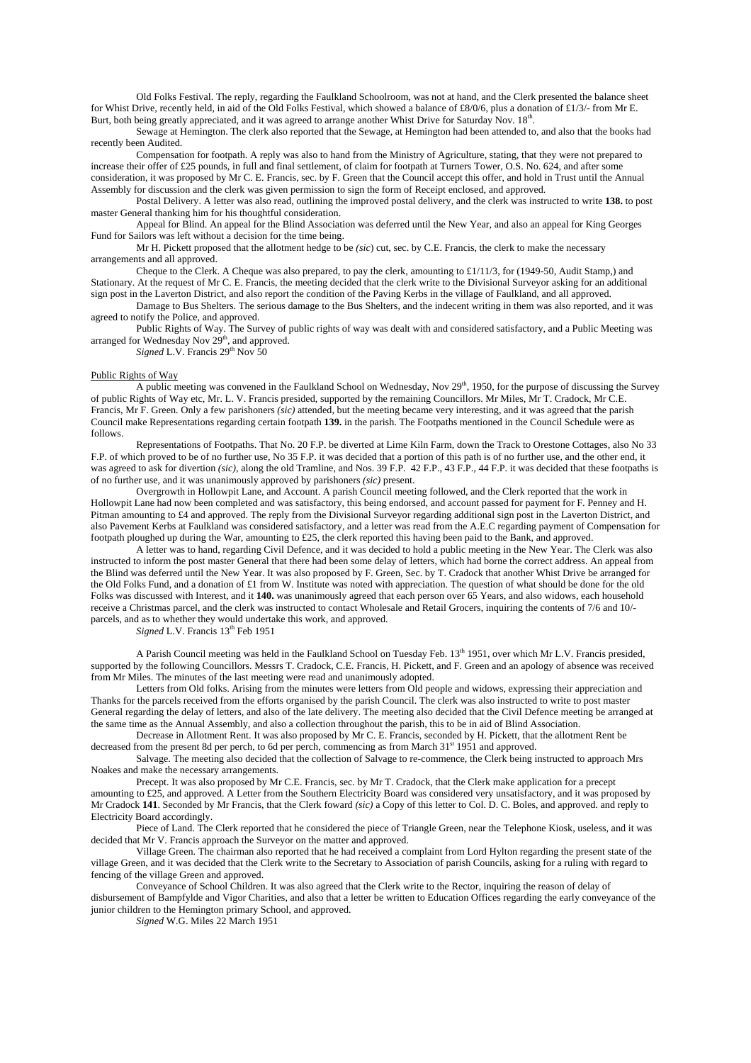Old Folks Festival. The reply, regarding the Faulkland Schoolroom, was not at hand, and the Clerk presented the balance sheet for Whist Drive, recently held, in aid of the Old Folks Festival, which showed a balance of £8/0/6, plus a donation of £1/3/- from Mr E. Burt, both being greatly appreciated, and it was agreed to arrange another Whist Drive for Saturday Nov. 18<sup>th</sup>.

Sewage at Hemington. The clerk also reported that the Sewage, at Hemington had been attended to, and also that the books had recently been Audited.

Compensation for footpath. A reply was also to hand from the Ministry of Agriculture, stating, that they were not prepared to increase their offer of £25 pounds, in full and final settlement, of claim for footpath at Turners Tower, O.S. No. 624, and after some consideration, it was proposed by Mr C. E. Francis, sec. by F. Green that the Council accept this offer, and hold in Trust until the Annual

Assembly for discussion and the clerk was given permission to sign the form of Receipt enclosed, and approved. Postal Delivery. A letter was also read, outlining the improved postal delivery, and the clerk was instructed to write **138.** to post

master General thanking him for his thoughtful consideration.

Appeal for Blind. An appeal for the Blind Association was deferred until the New Year, and also an appeal for King Georges Fund for Sailors was left without a decision for the time being.

Mr H. Pickett proposed that the allotment hedge to be *(sic*) cut, sec. by C.E. Francis, the clerk to make the necessary arrangements and all approved.

Cheque to the Clerk. A Cheque was also prepared, to pay the clerk, amounting to £1/11/3, for (1949-50, Audit Stamp,) and Stationary. At the request of Mr C. E. Francis, the meeting decided that the clerk write to the Divisional Surveyor asking for an additional sign post in the Laverton District, and also report the condition of the Paving Kerbs in the village of Faulkland, and all approved.

Damage to Bus Shelters. The serious damage to the Bus Shelters, and the indecent writing in them was also reported, and it was agreed to notify the Police, and approved.

Public Rights of Way. The Survey of public rights of way was dealt with and considered satisfactory, and a Public Meeting was arranged for Wednesday Nov  $29<sup>th</sup>$ , and approved.

*Signed* L.V. Francis 29<sup>th</sup> Nov 50

### Public Rights of Way

A public meeting was convened in the Faulkland School on Wednesday, Nov 29<sup>th</sup>, 1950, for the purpose of discussing the Survey of public Rights of Way etc, Mr. L. V. Francis presided, supported by the remaining Councillors. Mr Miles, Mr T. Cradock, Mr C.E. Francis, Mr F. Green. Only a few parishoners *(sic)* attended, but the meeting became very interesting, and it was agreed that the parish Council make Representations regarding certain footpath **139.** in the parish. The Footpaths mentioned in the Council Schedule were as follows.

Representations of Footpaths. That No. 20 F.P. be diverted at Lime Kiln Farm, down the Track to Orestone Cottages, also No 33 F.P. of which proved to be of no further use, No 35 F.P. it was decided that a portion of this path is of no further use, and the other end, it was agreed to ask for divertion *(sic)*, along the old Tramline, and Nos. 39 F.P. 42 F.P., 43 F.P., 44 F.P. it was decided that these footpaths is of no further use, and it was unanimously approved by parishoners *(sic)* present.

Overgrowth in Hollowpit Lane, and Account. A parish Council meeting followed, and the Clerk reported that the work in Hollowpit Lane had now been completed and was satisfactory, this being endorsed, and account passed for payment for F. Penney and H. Pitman amounting to £4 and approved. The reply from the Divisional Surveyor regarding additional sign post in the Laverton District, and also Pavement Kerbs at Faulkland was considered satisfactory, and a letter was read from the A.E.C regarding payment of Compensation for footpath ploughed up during the War, amounting to £25, the clerk reported this having been paid to the Bank, and approved.

A letter was to hand, regarding Civil Defence, and it was decided to hold a public meeting in the New Year. The Clerk was also instructed to inform the post master General that there had been some delay of letters, which had borne the correct address. An appeal from the Blind was deferred until the New Year. It was also proposed by F. Green, Sec. by T. Cradock that another Whist Drive be arranged for the Old Folks Fund, and a donation of £1 from W. Institute was noted with appreciation. The question of what should be done for the old Folks was discussed with Interest, and it **140.** was unanimously agreed that each person over 65 Years, and also widows, each household receive a Christmas parcel, and the clerk was instructed to contact Wholesale and Retail Grocers, inquiring the contents of 7/6 and 10/ parcels, and as to whether they would undertake this work, and approved.

*Signed L.V.* Francis  $13<sup>th</sup>$  Feb 1951

A Parish Council meeting was held in the Faulkland School on Tuesday Feb. 13<sup>th</sup> 1951, over which Mr L.V. Francis presided, supported by the following Councillors. Messrs T. Cradock, C.E. Francis, H. Pickett, and F. Green and an apology of absence was received from Mr Miles. The minutes of the last meeting were read and unanimously adopted.

Letters from Old folks. Arising from the minutes were letters from Old people and widows, expressing their appreciation and Thanks for the parcels received from the efforts organised by the parish Council. The clerk was also instructed to write to post master General regarding the delay of letters, and also of the late delivery. The meeting also decided that the Civil Defence meeting be arranged at the same time as the Annual Assembly, and also a collection throughout the parish, this to be in aid of Blind Association.

Decrease in Allotment Rent. It was also proposed by Mr C. E. Francis, seconded by H. Pickett, that the allotment Rent be decreased from the present 8d per perch, to 6d per perch, commencing as from March 31<sup>st</sup> 1951 and approved.

Salvage. The meeting also decided that the collection of Salvage to re-commence, the Clerk being instructed to approach Mrs Noakes and make the necessary arrangements.

Precept. It was also proposed by Mr C.E. Francis, sec. by Mr T. Cradock, that the Clerk make application for a precept amounting to £25, and approved. A Letter from the Southern Electricity Board was considered very unsatisfactory, and it was proposed by Mr Cradock **141**. Seconded by Mr Francis, that the Clerk foward *(sic)* a Copy of this letter to Col. D. C. Boles, and approved. and reply to Electricity Board accordingly.

Piece of Land. The Clerk reported that he considered the piece of Triangle Green, near the Telephone Kiosk, useless, and it was decided that Mr V. Francis approach the Surveyor on the matter and approved.

Village Green. The chairman also reported that he had received a complaint from Lord Hylton regarding the present state of the village Green, and it was decided that the Clerk write to the Secretary to Association of parish Councils, asking for a ruling with regard to fencing of the village Green and approved.

Conveyance of School Children. It was also agreed that the Clerk write to the Rector, inquiring the reason of delay of disbursement of Bampfylde and Vigor Charities, and also that a letter be written to Education Offices regarding the early conveyance of the junior children to the Hemington primary School, and approved.

*Signed* W.G. Miles 22 March 1951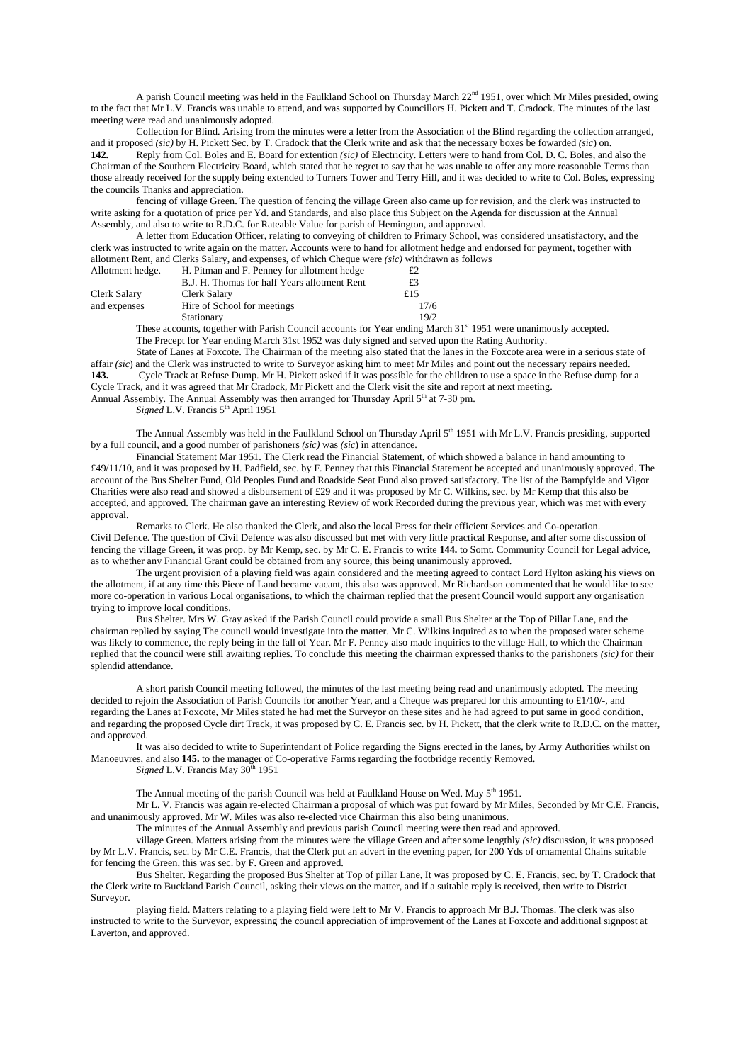A parish Council meeting was held in the Faulkland School on Thursday March 22nd 1951, over which Mr Miles presided, owing to the fact that Mr L.V. Francis was unable to attend, and was supported by Councillors H. Pickett and T. Cradock. The minutes of the last meeting were read and unanimously adopted.

Collection for Blind. Arising from the minutes were a letter from the Association of the Blind regarding the collection arranged, and it proposed *(sic)* by H. Pickett Sec. by T. Cradock that the Clerk write and ask that the necessary boxes be fowarded *(sic*) on.

**142.** Reply from Col. Boles and E. Board for extention *(sic)* of Electricity. Letters were to hand from Col. D. C. Boles, and also the Chairman of the Southern Electricity Board, which stated that he regret to say that he was unable to offer any more reasonable Terms than those already received for the supply being extended to Turners Tower and Terry Hill, and it was decided to write to Col. Boles, expressing the councils Thanks and appreciation.

fencing of village Green. The question of fencing the village Green also came up for revision, and the clerk was instructed to write asking for a quotation of price per Yd. and Standards, and also place this Subject on the Agenda for discussion at the Annual Assembly, and also to write to R.D.C. for Rateable Value for parish of Hemington, and approved.

A letter from Education Officer, relating to conveying of children to Primary School, was considered unsatisfactory, and the clerk was instructed to write again on the matter. Accounts were to hand for allotment hedge and endorsed for payment, together with allotment Rent, and Clerks Salary, and expenses, of which Cheque were *(sic)* withdrawn as follows

| Allotment hedge. | H. Pitman and F. Penney for allotment hedge  | £2    |
|------------------|----------------------------------------------|-------|
|                  | B.J. H. Thomas for half Years allotment Rent | £3    |
| Clerk Salary     | Clerk Salary                                 | f15   |
| and expenses     | Hire of School for meetings                  | 17/6  |
|                  | Stationary                                   | 19/2. |

These accounts, together with Parish Council accounts for Year ending March 31<sup>st</sup> 1951 were unanimously accepted. The Precept for Year ending March 31st 1952 was duly signed and served upon the Rating Authority.

State of Lanes at Foxcote. The Chairman of the meeting also stated that the lanes in the Foxcote area were in a serious state of affair *(sic*) and the Clerk was instructed to write to Surveyor asking him to meet Mr Miles and point out the necessary repairs needed. **143.** Cycle Track at Refuse Dump. Mr H. Pickett asked if it was possible for the children to use a space in the Refuse dump for a Cycle Track, and it was agreed that Mr Cradock, Mr Pickett and the Clerk visit the site and report at next meeting.

Annual Assembly. The Annual Assembly was then arranged for Thursday April  $5<sup>th</sup>$  at 7-30 pm.

*Signed* L.V. Francis 5<sup>th</sup> April 1951

The Annual Assembly was held in the Faulkland School on Thursday April 5th 1951 with Mr L.V. Francis presiding, supported by a full council, and a good number of parishoners *(sic)* was *(sic*) in attendance.

Financial Statement Mar 1951. The Clerk read the Financial Statement, of which showed a balance in hand amounting to £49/11/10, and it was proposed by H. Padfield, sec. by F. Penney that this Financial Statement be accepted and unanimously approved. The account of the Bus Shelter Fund, Old Peoples Fund and Roadside Seat Fund also proved satisfactory. The list of the Bampfylde and Vigor Charities were also read and showed a disbursement of £29 and it was proposed by Mr C. Wilkins, sec. by Mr Kemp that this also be accepted, and approved. The chairman gave an interesting Review of work Recorded during the previous year, which was met with every approval.

Remarks to Clerk. He also thanked the Clerk, and also the local Press for their efficient Services and Co-operation. Civil Defence. The question of Civil Defence was also discussed but met with very little practical Response, and after some discussion of fencing the village Green, it was prop. by Mr Kemp, sec. by Mr C. E. Francis to write **144.** to Somt. Community Council for Legal advice, as to whether any Financial Grant could be obtained from any source, this being unanimously approved.

The urgent provision of a playing field was again considered and the meeting agreed to contact Lord Hylton asking his views on the allotment, if at any time this Piece of Land became vacant, this also was approved. Mr Richardson commented that he would like to see more co-operation in various Local organisations, to which the chairman replied that the present Council would support any organisation trying to improve local conditions.

Bus Shelter. Mrs W. Gray asked if the Parish Council could provide a small Bus Shelter at the Top of Pillar Lane, and the chairman replied by saying The council would investigate into the matter. Mr C. Wilkins inquired as to when the proposed water scheme was likely to commence, the reply being in the fall of Year. Mr F. Penney also made inquiries to the village Hall, to which the Chairman replied that the council were still awaiting replies. To conclude this meeting the chairman expressed thanks to the parishoners *(sic)* for their splendid attendance.

A short parish Council meeting followed, the minutes of the last meeting being read and unanimously adopted. The meeting decided to rejoin the Association of Parish Councils for another Year, and a Cheque was prepared for this amounting to £1/10/-, and regarding the Lanes at Foxcote, Mr Miles stated he had met the Surveyor on these sites and he had agreed to put same in good condition, and regarding the proposed Cycle dirt Track, it was proposed by C. E. Francis sec. by H. Pickett, that the clerk write to R.D.C. on the matter, and approved.

It was also decided to write to Superintendant of Police regarding the Signs erected in the lanes, by Army Authorities whilst on Manoeuvres, and also **145.** to the manager of Co-operative Farms regarding the footbridge recently Removed. *Signed* L.V. Francis May  $30^{th}$  1951

The Annual meeting of the parish Council was held at Faulkland House on Wed. May 5<sup>th</sup> 1951.

Mr L. V. Francis was again re-elected Chairman a proposal of which was put foward by Mr Miles, Seconded by Mr C.E. Francis, and unanimously approved. Mr W. Miles was also re-elected vice Chairman this also being unanimous.

The minutes of the Annual Assembly and previous parish Council meeting were then read and approved.

village Green. Matters arising from the minutes were the village Green and after some lengthly *(sic)* discussion, it was proposed by Mr L.V. Francis, sec. by Mr C.E. Francis, that the Clerk put an advert in the evening paper, for 200 Yds of ornamental Chains suitable for fencing the Green, this was sec. by F. Green and approved.

Bus Shelter. Regarding the proposed Bus Shelter at Top of pillar Lane, It was proposed by C. E. Francis, sec. by T. Cradock that the Clerk write to Buckland Parish Council, asking their views on the matter, and if a suitable reply is received, then write to District Surveyor.

playing field. Matters relating to a playing field were left to Mr V. Francis to approach Mr B.J. Thomas. The clerk was also instructed to write to the Surveyor, expressing the council appreciation of improvement of the Lanes at Foxcote and additional signpost at Laverton, and approved.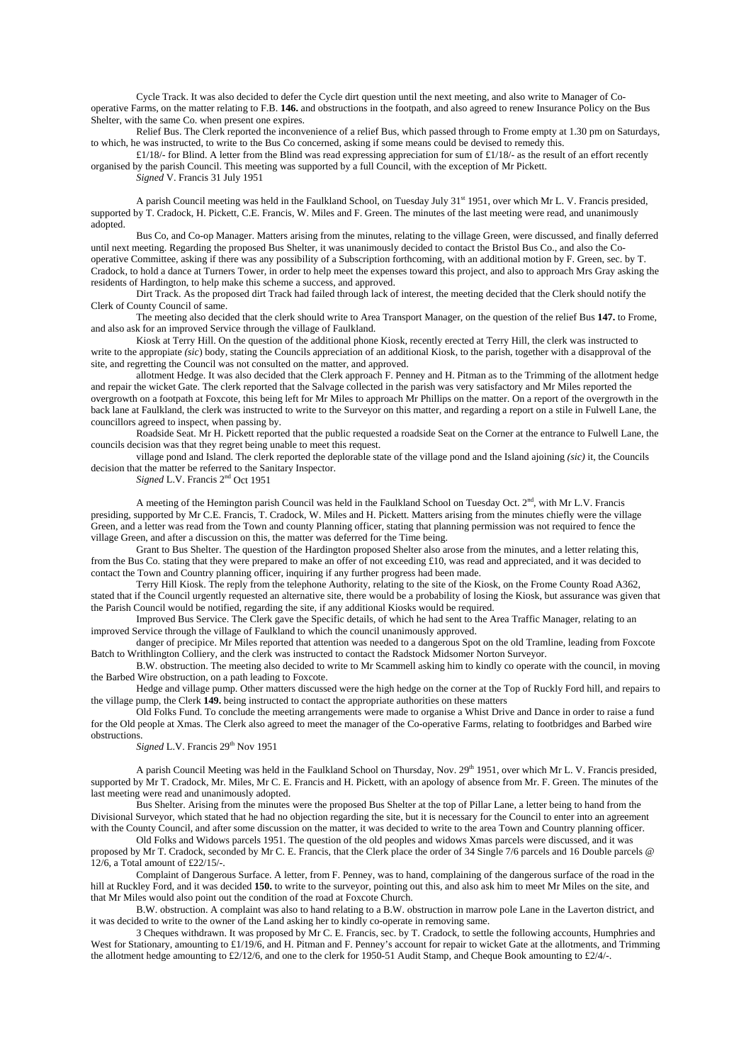Cycle Track. It was also decided to defer the Cycle dirt question until the next meeting, and also write to Manager of Cooperative Farms, on the matter relating to F.B. **146.** and obstructions in the footpath, and also agreed to renew Insurance Policy on the Bus Shelter, with the same Co. when present one expires.

Relief Bus. The Clerk reported the inconvenience of a relief Bus, which passed through to Frome empty at 1.30 pm on Saturdays, to which, he was instructed, to write to the Bus Co concerned, asking if some means could be devised to remedy this.

£1/18/- for Blind. A letter from the Blind was read expressing appreciation for sum of £1/18/- as the result of an effort recently organised by the parish Council. This meeting was supported by a full Council, with the exception of Mr Pickett. *Signed* V. Francis 31 July 1951

A parish Council meeting was held in the Faulkland School, on Tuesday July 31st 1951, over which Mr L. V. Francis presided, supported by T. Cradock, H. Pickett, C.E. Francis, W. Miles and F. Green. The minutes of the last meeting were read, and unanimously adopted.

Bus Co, and Co-op Manager. Matters arising from the minutes, relating to the village Green, were discussed, and finally deferred until next meeting. Regarding the proposed Bus Shelter, it was unanimously decided to contact the Bristol Bus Co., and also the Cooperative Committee, asking if there was any possibility of a Subscription forthcoming, with an additional motion by F. Green, sec. by T. Cradock, to hold a dance at Turners Tower, in order to help meet the expenses toward this project, and also to approach Mrs Gray asking the residents of Hardington, to help make this scheme a success, and approved.

Dirt Track. As the proposed dirt Track had failed through lack of interest, the meeting decided that the Clerk should notify the Clerk of County Council of same.

The meeting also decided that the clerk should write to Area Transport Manager, on the question of the relief Bus **147.** to Frome, and also ask for an improved Service through the village of Faulkland.

Kiosk at Terry Hill. On the question of the additional phone Kiosk, recently erected at Terry Hill, the clerk was instructed to write to the appropiate *(sic*) body, stating the Councils appreciation of an additional Kiosk, to the parish, together with a disapproval of the site, and regretting the Council was not consulted on the matter, and approved.

allotment Hedge. It was also decided that the Clerk approach F. Penney and H. Pitman as to the Trimming of the allotment hedge and repair the wicket Gate. The clerk reported that the Salvage collected in the parish was very satisfactory and Mr Miles reported the overgrowth on a footpath at Foxcote, this being left for Mr Miles to approach Mr Phillips on the matter. On a report of the overgrowth in the back lane at Faulkland, the clerk was instructed to write to the Surveyor on this matter, and regarding a report on a stile in Fulwell Lane, the councillors agreed to inspect, when passing by.

Roadside Seat. Mr H. Pickett reported that the public requested a roadside Seat on the Corner at the entrance to Fulwell Lane, the councils decision was that they regret being unable to meet this request.

village pond and Island. The clerk reported the deplorable state of the village pond and the Island ajoining *(sic)* it, the Councils decision that the matter be referred to the Sanitary Inspector.

*Signed* L.V. Francis 2<sup>nd</sup> Oct 1951

A meeting of the Hemington parish Council was held in the Faulkland School on Tuesday Oct. 2<sup>nd</sup>, with Mr L.V. Francis presiding, supported by Mr C.E. Francis, T. Cradock, W. Miles and H. Pickett. Matters arising from the minutes chiefly were the village Green, and a letter was read from the Town and county Planning officer, stating that planning permission was not required to fence the village Green, and after a discussion on this, the matter was deferred for the Time being.

Grant to Bus Shelter. The question of the Hardington proposed Shelter also arose from the minutes, and a letter relating this, from the Bus Co. stating that they were prepared to make an offer of not exceeding £10, was read and appreciated, and it was decided to contact the Town and Country planning officer, inquiring if any further progress had been made.

Terry Hill Kiosk. The reply from the telephone Authority, relating to the site of the Kiosk, on the Frome County Road A362, stated that if the Council urgently requested an alternative site, there would be a probability of losing the Kiosk, but assurance was given that the Parish Council would be notified, regarding the site, if any additional Kiosks would be required.

Improved Bus Service. The Clerk gave the Specific details, of which he had sent to the Area Traffic Manager, relating to an improved Service through the village of Faulkland to which the council unanimously approved.

danger of precipice. Mr Miles reported that attention was needed to a dangerous Spot on the old Tramline, leading from Foxcote Batch to Writhlington Colliery, and the clerk was instructed to contact the Radstock Midsomer Norton Surveyor.

B.W. obstruction. The meeting also decided to write to Mr Scammell asking him to kindly co operate with the council, in moving the Barbed Wire obstruction, on a path leading to Foxcote.

Hedge and village pump. Other matters discussed were the high hedge on the corner at the Top of Ruckly Ford hill, and repairs to the village pump, the Clerk **149.** being instructed to contact the appropriate authorities on these matters

Old Folks Fund. To conclude the meeting arrangements were made to organise a Whist Drive and Dance in order to raise a fund for the Old people at Xmas. The Clerk also agreed to meet the manager of the Co-operative Farms, relating to footbridges and Barbed wire obstructions.

*Signed* L.V. Francis 29<sup>th</sup> Nov 1951

A parish Council Meeting was held in the Faulkland School on Thursday, Nov. 29<sup>th</sup> 1951, over which Mr L. V. Francis presided, supported by Mr T. Cradock, Mr. Miles, Mr C. E. Francis and H. Pickett, with an apology of absence from Mr. F. Green. The minutes of the last meeting were read and unanimously adopted.

Bus Shelter. Arising from the minutes were the proposed Bus Shelter at the top of Pillar Lane, a letter being to hand from the Divisional Surveyor, which stated that he had no objection regarding the site, but it is necessary for the Council to enter into an agreement with the County Council, and after some discussion on the matter, it was decided to write to the area Town and Country planning officer.

Old Folks and Widows parcels 1951. The question of the old peoples and widows Xmas parcels were discussed, and it was proposed by Mr T. Cradock, seconded by Mr C. E. Francis, that the Clerk place the order of 34 Single 7/6 parcels and 16 Double parcels @ 12/6, a Total amount of £22/15/-.

Complaint of Dangerous Surface. A letter, from F. Penney, was to hand, complaining of the dangerous surface of the road in the hill at Ruckley Ford, and it was decided **150.** to write to the surveyor, pointing out this, and also ask him to meet Mr Miles on the site, and that Mr Miles would also point out the condition of the road at Foxcote Church.

B.W. obstruction. A complaint was also to hand relating to a B.W. obstruction in marrow pole Lane in the Laverton district, and it was decided to write to the owner of the Land asking her to kindly co-operate in removing same.

3 Cheques withdrawn. It was proposed by Mr C. E. Francis, sec. by T. Cradock, to settle the following accounts, Humphries and West for Stationary, amounting to £1/19/6, and H. Pitman and F. Penney's account for repair to wicket Gate at the allotments, and Trimming the allotment hedge amounting to £2/12/6, and one to the clerk for 1950-51 Audit Stamp, and Cheque Book amounting to £2/4/-.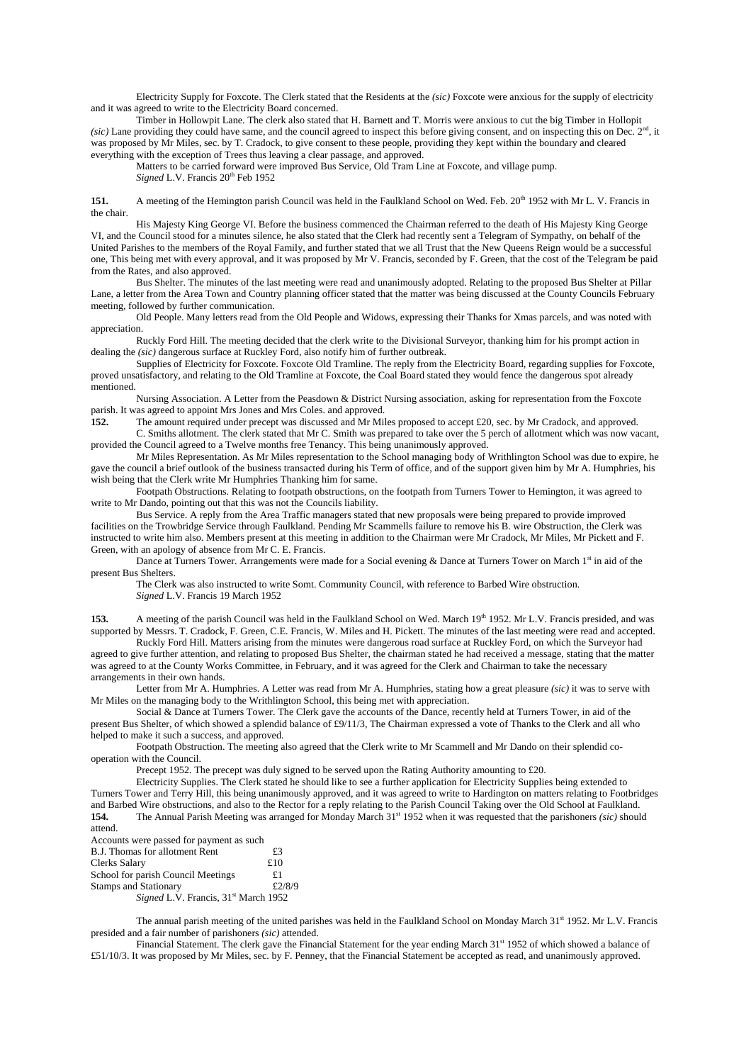Electricity Supply for Foxcote. The Clerk stated that the Residents at the *(sic)* Foxcote were anxious for the supply of electricity and it was agreed to write to the Electricity Board concerned.

Timber in Hollowpit Lane. The clerk also stated that H. Barnett and T. Morris were anxious to cut the big Timber in Hollopit *(sic)* Lane providing they could have same, and the council agreed to inspect this before giving consent, and on inspecting this on Dec. 2<sup>nd</sup>, it was proposed by Mr Miles, sec. by T. Cradock, to give consent to these people, providing they kept within the boundary and cleared everything with the exception of Trees thus leaving a clear passage, and approved.

Matters to be carried forward were improved Bus Service, Old Tram Line at Foxcote, and village pump. *Signed* L.V. Francis 20<sup>th</sup> Feb 1952

**151.** A meeting of the Hemington parish Council was held in the Faulkland School on Wed. Feb. 20<sup>th</sup> 1952 with Mr L. V. Francis in the chair.

His Majesty King George VI. Before the business commenced the Chairman referred to the death of His Majesty King George VI, and the Council stood for a minutes silence, he also stated that the Clerk had recently sent a Telegram of Sympathy, on behalf of the United Parishes to the members of the Royal Family, and further stated that we all Trust that the New Queens Reign would be a successful one, This being met with every approval, and it was proposed by Mr V. Francis, seconded by F. Green, that the cost of the Telegram be paid from the Rates, and also approved.

Bus Shelter. The minutes of the last meeting were read and unanimously adopted. Relating to the proposed Bus Shelter at Pillar Lane, a letter from the Area Town and Country planning officer stated that the matter was being discussed at the County Councils February meeting, followed by further communication.

Old People. Many letters read from the Old People and Widows, expressing their Thanks for Xmas parcels, and was noted with appreciation.

Ruckly Ford Hill. The meeting decided that the clerk write to the Divisional Surveyor, thanking him for his prompt action in dealing the *(sic)* dangerous surface at Ruckley Ford, also notify him of further outbreak.

Supplies of Electricity for Foxcote. Foxcote Old Tramline. The reply from the Electricity Board, regarding supplies for Foxcote, proved unsatisfactory, and relating to the Old Tramline at Foxcote, the Coal Board stated they would fence the dangerous spot already mentioned.

Nursing Association. A Letter from the Peasdown & District Nursing association, asking for representation from the Foxcote parish. It was agreed to appoint Mrs Jones and Mrs Coles. and approved.<br>152. The amount required under precept was discussed and Mr Mil

**152.** The amount required under precept was discussed and Mr Miles proposed to accept £20, sec. by Mr Cradock, and approved. C. Smiths allotment. The clerk stated that Mr C. Smith was prepared to take over the 5 perch of allotment which was now vacant,

provided the Council agreed to a Twelve months free Tenancy. This being unanimously approved.

Mr Miles Representation. As Mr Miles representation to the School managing body of Writhlington School was due to expire, he gave the council a brief outlook of the business transacted during his Term of office, and of the support given him by Mr A. Humphries, his wish being that the Clerk write Mr Humphries Thanking him for same.

Footpath Obstructions. Relating to footpath obstructions, on the footpath from Turners Tower to Hemington, it was agreed to write to Mr Dando, pointing out that this was not the Councils liability.

Bus Service. A reply from the Area Traffic managers stated that new proposals were being prepared to provide improved facilities on the Trowbridge Service through Faulkland. Pending Mr Scammells failure to remove his B. wire Obstruction, the Clerk was instructed to write him also. Members present at this meeting in addition to the Chairman were Mr Cradock, Mr Miles, Mr Pickett and F. Green, with an apology of absence from Mr C. E. Francis.

Dance at Turners Tower. Arrangements were made for a Social evening & Dance at Turners Tower on March 1<sup>st</sup> in aid of the present Bus Shelters.

The Clerk was also instructed to write Somt. Community Council, with reference to Barbed Wire obstruction. *Signed* L.V. Francis 19 March 1952

153. A meeting of the parish Council was held in the Faulkland School on Wed. March 19<sup>th</sup> 1952. Mr L.V. Francis presided, and was supported by Messrs. T. Cradock, F. Green, C.E. Francis, W. Miles and H. Pickett. The minutes of the last meeting were read and accepted.

Ruckly Ford Hill. Matters arising from the minutes were dangerous road surface at Ruckley Ford, on which the Surveyor had agreed to give further attention, and relating to proposed Bus Shelter, the chairman stated he had received a message, stating that the matter was agreed to at the County Works Committee, in February, and it was agreed for the Clerk and Chairman to take the necessary arrangements in their own hands.

Letter from Mr A. Humphries. A Letter was read from Mr A. Humphries, stating how a great pleasure *(sic)* it was to serve with Mr Miles on the managing body to the Writhlington School, this being met with appreciation.

Social & Dance at Turners Tower. The Clerk gave the accounts of the Dance, recently held at Turners Tower, in aid of the present Bus Shelter, of which showed a splendid balance of £9/11/3, The Chairman expressed a vote of Thanks to the Clerk and all who helped to make it such a success, and approved.

Footpath Obstruction. The meeting also agreed that the Clerk write to Mr Scammell and Mr Dando on their splendid cooperation with the Council.

Precept 1952. The precept was duly signed to be served upon the Rating Authority amounting to £20.

Electricity Supplies. The Clerk stated he should like to see a further application for Electricity Supplies being extended to Turners Tower and Terry Hill, this being unanimously approved, and it was agreed to write to Hardington on matters relating to Footbridges and Barbed Wire obstructions, and also to the Rector for a reply relating to the Parish Council Taking over the Old School at Faulkland. **154.** The Annual Parish Meeting was arranged for Monday March 31st 1952 when it was requested that the parishoners *(sic)* should

attend. Accounts were passed for payment as such B.J. Thomas for allotment Rent  $£3$ <br>Clerks Salary  $£10$ Clerks Salary School for parish Council Meetings £1 Stamps and Stationary  $£2/8/9$ *Signed* L.V. Francis, 31<sup>st</sup> March 1952

The annual parish meeting of the united parishes was held in the Faulkland School on Monday March  $31<sup>st</sup> 1952$ . Mr L.V. Francis presided and a fair number of parishoners *(sic)* attended.

Financial Statement. The clerk gave the Financial Statement for the year ending March 31<sup>st</sup> 1952 of which showed a balance of £51/10/3. It was proposed by Mr Miles, sec. by F. Penney, that the Financial Statement be accepted as read, and unanimously approved.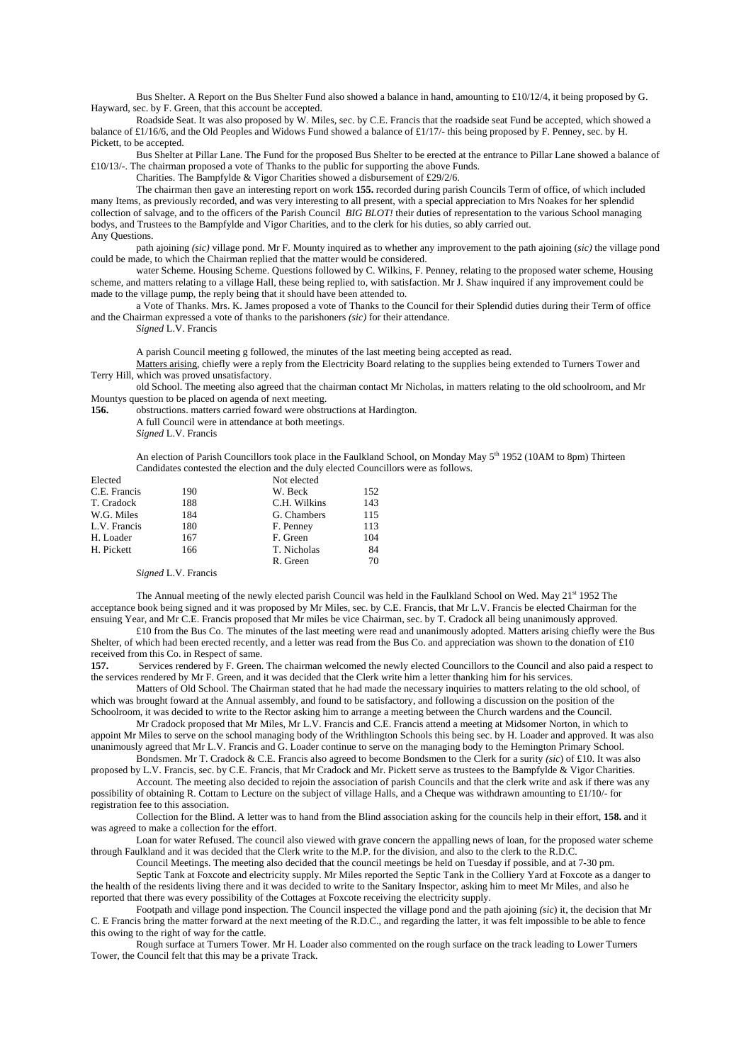Bus Shelter. A Report on the Bus Shelter Fund also showed a balance in hand, amounting to £10/12/4, it being proposed by G. Hayward, sec. by F. Green, that this account be accepted.

Roadside Seat. It was also proposed by W. Miles, sec. by C.E. Francis that the roadside seat Fund be accepted, which showed a balance of £1/16/6, and the Old Peoples and Widows Fund showed a balance of £1/17/- this being proposed by F. Penney, sec. by H. Pickett, to be accepted.

Bus Shelter at Pillar Lane. The Fund for the proposed Bus Shelter to be erected at the entrance to Pillar Lane showed a balance of £10/13/-. The chairman proposed a vote of Thanks to the public for supporting the above Funds.

Charities. The Bampfylde & Vigor Charities showed a disbursement of £29/2/6.

The chairman then gave an interesting report on work **155.** recorded during parish Councils Term of office, of which included many Items, as previously recorded, and was very interesting to all present, with a special appreciation to Mrs Noakes for her splendid collection of salvage, and to the officers of the Parish Council *BIG BLOT!* their duties of representation to the various School managing bodys, and Trustees to the Bampfylde and Vigor Charities, and to the clerk for his duties, so ably carried out. Any Questions.

path ajoining *(sic)* village pond. Mr F. Mounty inquired as to whether any improvement to the path ajoining (*sic)* the village pond could be made, to which the Chairman replied that the matter would be considered.

water Scheme. Housing Scheme. Questions followed by C. Wilkins, F. Penney, relating to the proposed water scheme, Housing scheme, and matters relating to a village Hall, these being replied to, with satisfaction. Mr J. Shaw inquired if any improvement could be made to the village pump, the reply being that it should have been attended to.

a Vote of Thanks. Mrs. K. James proposed a vote of Thanks to the Council for their Splendid duties during their Term of office and the Chairman expressed a vote of thanks to the parishoners *(sic)* for their attendance.

*Signed* L.V. Francis

A parish Council meeting g followed, the minutes of the last meeting being accepted as read.

Matters arising, chiefly were a reply from the Electricity Board relating to the supplies being extended to Turners Tower and Terry Hill, which was proved unsatisfactory.

old School. The meeting also agreed that the chairman contact Mr Nicholas, in matters relating to the old schoolroom, and Mr Mountys question to be placed on agenda of next meeting.

156. obstructions. matters carried foward were obstructions at Hardington.

A full Council were in attendance at both meetings.

*Signed* L.V. Francis

An election of Parish Councillors took place in the Faulkland School, on Monday May 5<sup>th</sup> 1952 (10AM to 8pm) Thirteen Candidates contested the election and the duly elected Councillors were as follows.

| Elected      |     | Not elected  |     |
|--------------|-----|--------------|-----|
| C.E. Francis | 190 | W. Beck      | 152 |
| T. Cradock   | 188 | C.H. Wilkins | 143 |
| W.G. Miles   | 184 | G. Chambers  | 115 |
| L.V. Francis | 180 | F. Penney    | 113 |
| H. Loader    | 167 | F. Green     | 104 |
| H. Pickett   | 166 | T. Nicholas  | 84  |
|              |     | R. Green     | 70  |

## *Signed* L.V. Francis

The Annual meeting of the newly elected parish Council was held in the Faulkland School on Wed. May  $21<sup>st</sup> 1952$  The acceptance book being signed and it was proposed by Mr Miles, sec. by C.E. Francis, that Mr L.V. Francis be elected Chairman for the ensuing Year, and Mr C.E. Francis proposed that Mr miles be vice Chairman, sec. by T. Cradock all being unanimously approved.

£10 from the Bus Co. The minutes of the last meeting were read and unanimously adopted. Matters arising chiefly were the Bus Shelter, of which had been erected recently, and a letter was read from the Bus Co. and appreciation was shown to the donation of £10 received from this Co. in Respect of same.

**157.** Services rendered by F. Green. The chairman welcomed the newly elected Councillors to the Council and also paid a respect to the services rendered by Mr F. Green, and it was decided that the Clerk write him a letter thanking him for his services.

Matters of Old School. The Chairman stated that he had made the necessary inquiries to matters relating to the old school, of which was brought foward at the Annual assembly, and found to be satisfactory, and following a discussion on the position of the Schoolroom, it was decided to write to the Rector asking him to arrange a meeting between the Church wardens and the Council.

Mr Cradock proposed that Mr Miles, Mr L.V. Francis and C.E. Francis attend a meeting at Midsomer Norton, in which to appoint Mr Miles to serve on the school managing body of the Writhlington Schools this being sec. by H. Loader and approved. It was also unanimously agreed that Mr L.V. Francis and G. Loader continue to serve on the managing body to the Hemington Primary School.

Bondsmen. Mr T. Cradock & C.E. Francis also agreed to become Bondsmen to the Clerk for a surity *(sic*) of £10. It was also proposed by L.V. Francis, sec. by C.E. Francis, that Mr Cradock and Mr. Pickett serve as trustees to the Bampfylde & Vigor Charities.

Account. The meeting also decided to rejoin the association of parish Councils and that the clerk write and ask if there was any possibility of obtaining R. Cottam to Lecture on the subject of village Halls, and a Cheque was withdrawn amounting to £1/10/- for registration fee to this association.

Collection for the Blind. A letter was to hand from the Blind association asking for the councils help in their effort, **158.** and it was agreed to make a collection for the effort.

Loan for water Refused. The council also viewed with grave concern the appalling news of loan, for the proposed water scheme through Faulkland and it was decided that the Clerk write to the M.P. for the division, and also to the clerk to the R.D.C.

Council Meetings. The meeting also decided that the council meetings be held on Tuesday if possible, and at 7-30 pm.

Septic Tank at Foxcote and electricity supply. Mr Miles reported the Septic Tank in the Colliery Yard at Foxcote as a danger to the health of the residents living there and it was decided to write to the Sanitary Inspector, asking him to meet Mr Miles, and also he reported that there was every possibility of the Cottages at Foxcote receiving the electricity supply.

Footpath and village pond inspection. The Council inspected the village pond and the path ajoining *(sic*) it, the decision that Mr C. E Francis bring the matter forward at the next meeting of the R.D.C., and regarding the latter, it was felt impossible to be able to fence this owing to the right of way for the cattle.

Rough surface at Turners Tower. Mr H. Loader also commented on the rough surface on the track leading to Lower Turners Tower, the Council felt that this may be a private Track.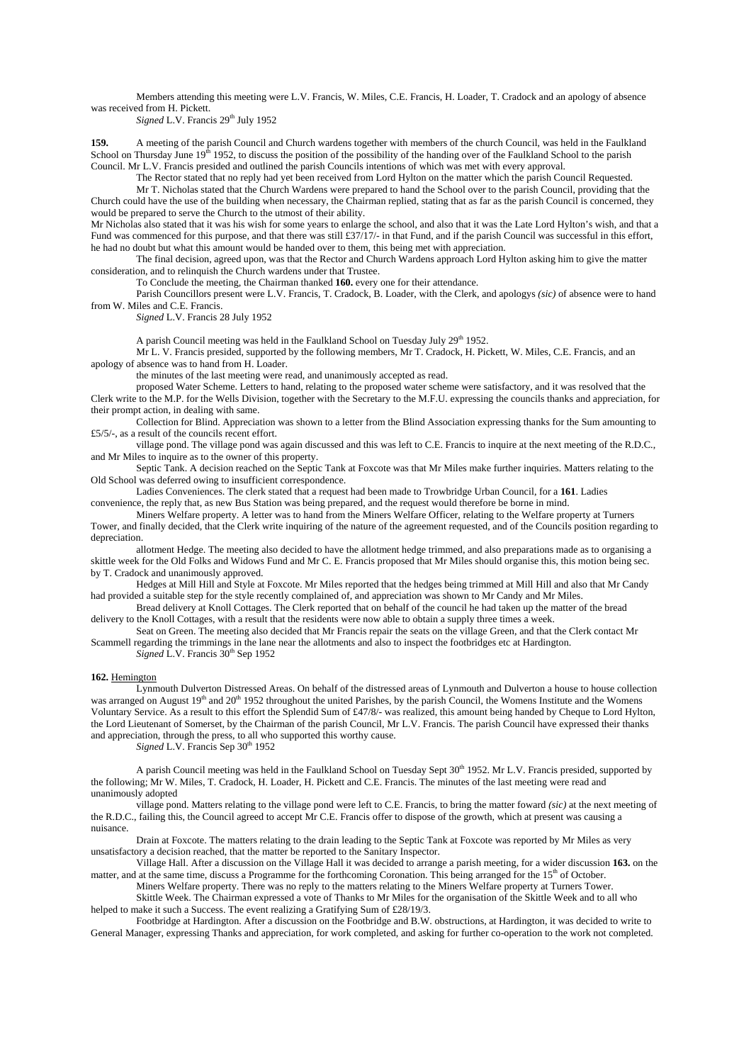Members attending this meeting were L.V. Francis, W. Miles, C.E. Francis, H. Loader, T. Cradock and an apology of absence was received from H. Pickett.

*Signed* L.V. Francis 29<sup>th</sup> July 1952

**159.** A meeting of the parish Council and Church wardens together with members of the church Council, was held in the Faulkland School on Thursday June  $19<sup>th</sup> 1952$ , to discuss the position of the possibility of the handing over of the Faulkland School to the parish Council. Mr L.V. Francis presided and outlined the parish Councils intentions of which was met with every approval.

The Rector stated that no reply had yet been received from Lord Hylton on the matter which the parish Council Requested.

Mr T. Nicholas stated that the Church Wardens were prepared to hand the School over to the parish Council, providing that the Church could have the use of the building when necessary, the Chairman replied, stating that as far as the parish Council is concerned, they would be prepared to serve the Church to the utmost of their ability.

Mr Nicholas also stated that it was his wish for some years to enlarge the school, and also that it was the Late Lord Hylton's wish, and that a Fund was commenced for this purpose, and that there was still £37/17/- in that Fund, and if the parish Council was successful in this effort, he had no doubt but what this amount would be handed over to them, this being met with appreciation.

The final decision, agreed upon, was that the Rector and Church Wardens approach Lord Hylton asking him to give the matter consideration, and to relinquish the Church wardens under that Trustee.

To Conclude the meeting, the Chairman thanked **160.** every one for their attendance.

Parish Councillors present were L.V. Francis, T. Cradock, B. Loader, with the Clerk, and apologys *(sic)* of absence were to hand from W. Miles and C.E. Francis.

*Signed* L.V. Francis 28 July 1952

A parish Council meeting was held in the Faulkland School on Tuesday July 29<sup>th</sup> 1952.

Mr L. V. Francis presided, supported by the following members, Mr T. Cradock, H. Pickett, W. Miles, C.E. Francis, and an apology of absence was to hand from H. Loader.

the minutes of the last meeting were read, and unanimously accepted as read.

proposed Water Scheme. Letters to hand, relating to the proposed water scheme were satisfactory, and it was resolved that the Clerk write to the M.P. for the Wells Division, together with the Secretary to the M.F.U. expressing the councils thanks and appreciation, for their prompt action, in dealing with same.

Collection for Blind. Appreciation was shown to a letter from the Blind Association expressing thanks for the Sum amounting to £5/5/-, as a result of the councils recent effort.

village pond. The village pond was again discussed and this was left to C.E. Francis to inquire at the next meeting of the R.D.C., and Mr Miles to inquire as to the owner of this property.

Septic Tank. A decision reached on the Septic Tank at Foxcote was that Mr Miles make further inquiries. Matters relating to the Old School was deferred owing to insufficient correspondence.

Ladies Conveniences. The clerk stated that a request had been made to Trowbridge Urban Council, for a **161**. Ladies convenience, the reply that, as new Bus Station was being prepared, and the request would therefore be borne in mind.

Miners Welfare property. A letter was to hand from the Miners Welfare Officer, relating to the Welfare property at Turners Tower, and finally decided, that the Clerk write inquiring of the nature of the agreement requested, and of the Councils position regarding to depreciation.

allotment Hedge. The meeting also decided to have the allotment hedge trimmed, and also preparations made as to organising a skittle week for the Old Folks and Widows Fund and Mr C. E. Francis proposed that Mr Miles should organise this, this motion being sec. by T. Cradock and unanimously approved.

Hedges at Mill Hill and Style at Foxcote. Mr Miles reported that the hedges being trimmed at Mill Hill and also that Mr Candy had provided a suitable step for the style recently complained of, and appreciation was shown to Mr Candy and Mr Miles.

Bread delivery at Knoll Cottages. The Clerk reported that on behalf of the council he had taken up the matter of the bread delivery to the Knoll Cottages, with a result that the residents were now able to obtain a supply three times a week.

Seat on Green. The meeting also decided that Mr Francis repair the seats on the village Green, and that the Clerk contact Mr Scammell regarding the trimmings in the lane near the allotments and also to inspect the footbridges etc at Hardington.

Signed L.V. Francis 30<sup>th</sup> Sep 1952

#### **162.** Hemington

Lynmouth Dulverton Distressed Areas. On behalf of the distressed areas of Lynmouth and Dulverton a house to house collection was arranged on August 19<sup>th</sup> and 20<sup>th</sup> 1952 throughout the united Parishes, by the parish Council, the Womens Institute and the Womens Voluntary Service. As a result to this effort the Splendid Sum of £47/8/- was realized, this amount being handed by Cheque to Lord Hylton, the Lord Lieutenant of Somerset, by the Chairman of the parish Council, Mr L.V. Francis. The parish Council have expressed their thanks and appreciation, through the press, to all who supported this worthy cause.

*Signed* L.V. Francis Sep 30<sup>th</sup> 1952

A parish Council meeting was held in the Faulkland School on Tuesday Sept  $30<sup>th</sup> 1952$ . Mr L.V. Francis presided, supported by the following; Mr W. Miles, T. Cradock, H. Loader, H. Pickett and C.E. Francis. The minutes of the last meeting were read and unanimously adopted

village pond. Matters relating to the village pond were left to C.E. Francis, to bring the matter foward *(sic)* at the next meeting of the R.D.C., failing this, the Council agreed to accept Mr C.E. Francis offer to dispose of the growth, which at present was causing a nuisance.

Drain at Foxcote. The matters relating to the drain leading to the Septic Tank at Foxcote was reported by Mr Miles as very unsatisfactory a decision reached, that the matter be reported to the Sanitary Inspector.

Village Hall. After a discussion on the Village Hall it was decided to arrange a parish meeting, for a wider discussion **163.** on the matter, and at the same time, discuss a Programme for the forthcoming Coronation. This being arranged for the 15<sup>th</sup> of October.

Miners Welfare property. There was no reply to the matters relating to the Miners Welfare property at Turners Tower. Skittle Week. The Chairman expressed a vote of Thanks to Mr Miles for the organisation of the Skittle Week and to all who helped to make it such a Success. The event realizing a Gratifying Sum of £28/19/3.

Footbridge at Hardington. After a discussion on the Footbridge and B.W. obstructions, at Hardington, it was decided to write to General Manager, expressing Thanks and appreciation, for work completed, and asking for further co-operation to the work not completed.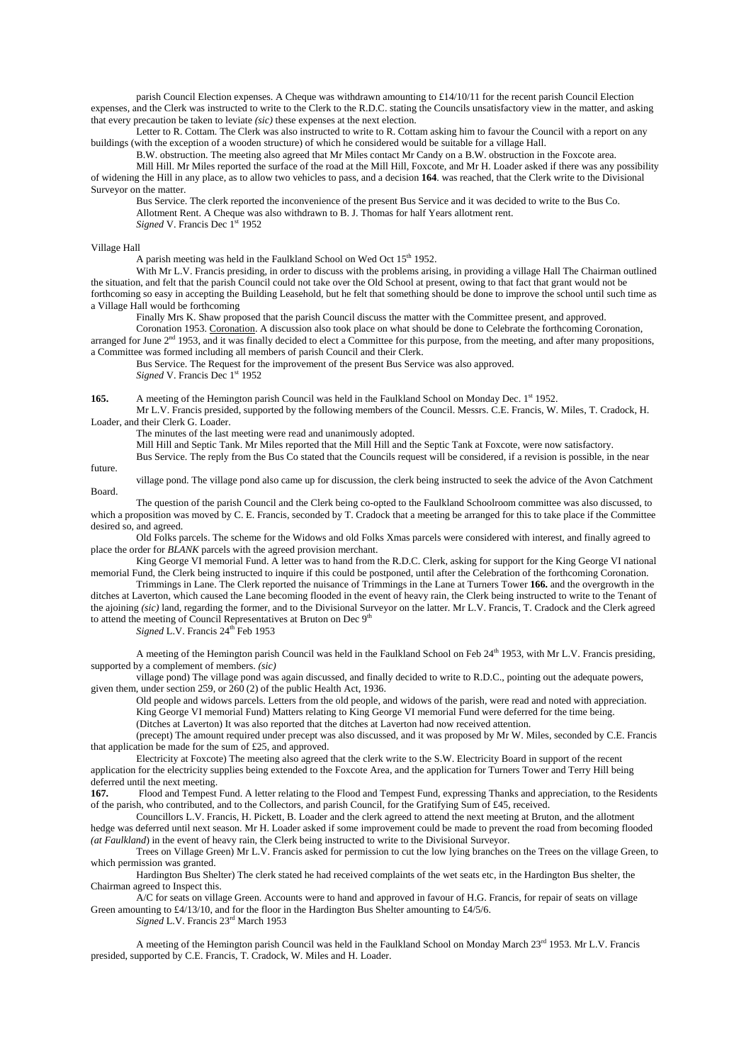parish Council Election expenses. A Cheque was withdrawn amounting to £14/10/11 for the recent parish Council Election expenses, and the Clerk was instructed to write to the Clerk to the R.D.C. stating the Councils unsatisfactory view in the matter, and asking that every precaution be taken to leviate *(sic)* these expenses at the next election.

Letter to R. Cottam. The Clerk was also instructed to write to R. Cottam asking him to favour the Council with a report on any buildings (with the exception of a wooden structure) of which he considered would be suitable for a village Hall.

B.W. obstruction. The meeting also agreed that Mr Miles contact Mr Candy on a B.W. obstruction in the Foxcote area. Mill Hill. Mr Miles reported the surface of the road at the Mill Hill, Foxcote, and Mr H. Loader asked if there was any possibility

of widening the Hill in any place, as to allow two vehicles to pass, and a decision **164**. was reached, that the Clerk write to the Divisional Surveyor on the matter.

Bus Service. The clerk reported the inconvenience of the present Bus Service and it was decided to write to the Bus Co. Allotment Rent. A Cheque was also withdrawn to B. J. Thomas for half Years allotment rent.

*Signed* V. Francis Dec 1<sup>st</sup> 1952

### Village Hall

A parish meeting was held in the Faulkland School on Wed Oct  $15<sup>th</sup> 1952$ .

With Mr L.V. Francis presiding, in order to discuss with the problems arising, in providing a village Hall The Chairman outlined the situation, and felt that the parish Council could not take over the Old School at present, owing to that fact that grant would not be forthcoming so easy in accepting the Building Leasehold, but he felt that something should be done to improve the school until such time as a Village Hall would be forthcoming

Finally Mrs K. Shaw proposed that the parish Council discuss the matter with the Committee present, and approved.

Coronation 1953. Coronation. A discussion also took place on what should be done to Celebrate the forthcoming Coronation, arranged for June  $2<sup>nd</sup>$  1953, and it was finally decided to elect a Committee for this purpose, from the meeting, and after many propositions, a Committee was formed including all members of parish Council and their Clerk.

Bus Service. The Request for the improvement of the present Bus Service was also approved. *Signed* V. Francis Dec 1<sup>st</sup> 1952

**165.** A meeting of the Hemington parish Council was held in the Faulkland School on Monday Dec. 1<sup>st</sup> 1952. Mr L.V. Francis presided, supported by the following members of the Council. Messrs. C.E. Francis, W. Miles, T. Cradock, H. Loader, and their Clerk G. Loader.

The minutes of the last meeting were read and unanimously adopted.

Mill Hill and Septic Tank. Mr Miles reported that the Mill Hill and the Septic Tank at Foxcote, were now satisfactory.

Bus Service. The reply from the Bus Co stated that the Councils request will be considered, if a revision is possible, in the near future.

village pond. The village pond also came up for discussion, the clerk being instructed to seek the advice of the Avon Catchment Board.

The question of the parish Council and the Clerk being co-opted to the Faulkland Schoolroom committee was also discussed, to which a proposition was moved by C. E. Francis, seconded by T. Cradock that a meeting be arranged for this to take place if the Committee desired so, and agreed.

Old Folks parcels. The scheme for the Widows and old Folks Xmas parcels were considered with interest, and finally agreed to place the order for *BLANK* parcels with the agreed provision merchant.

King George VI memorial Fund. A letter was to hand from the R.D.C. Clerk, asking for support for the King George VI national memorial Fund, the Clerk being instructed to inquire if this could be postponed, until after the Celebration of the forthcoming Coronation.

Trimmings in Lane. The Clerk reported the nuisance of Trimmings in the Lane at Turners Tower **166.** and the overgrowth in the ditches at Laverton, which caused the Lane becoming flooded in the event of heavy rain, the Clerk being instructed to write to the Tenant of the ajoining *(sic)* land, regarding the former, and to the Divisional Surveyor on the latter. Mr L.V. Francis, T. Cradock and the Clerk agreed to attend the meeting of Council Representatives at Bruton on Dec 9<sup>th</sup>

*Signed* L.V. Francis 24<sup>th</sup> Feb 1953

A meeting of the Hemington parish Council was held in the Faulkland School on Feb 24<sup>th</sup> 1953, with Mr L.V. Francis presiding, supported by a complement of members. *(sic)* 

village pond) The village pond was again discussed, and finally decided to write to R.D.C., pointing out the adequate powers, given them, under section 259, or 260 (2) of the public Health Act, 1936.

Old people and widows parcels. Letters from the old people, and widows of the parish, were read and noted with appreciation. King George VI memorial Fund) Matters relating to King George VI memorial Fund were deferred for the time being. (Ditches at Laverton) It was also reported that the ditches at Laverton had now received attention.

(precept) The amount required under precept was also discussed, and it was proposed by Mr W. Miles, seconded by C.E. Francis that application be made for the sum of £25, and approved.

Electricity at Foxcote) The meeting also agreed that the clerk write to the S.W. Electricity Board in support of the recent application for the electricity supplies being extended to the Foxcote Area, and the application for Turners Tower and Terry Hill being deferred until the next meeting.

**167.** Flood and Tempest Fund. A letter relating to the Flood and Tempest Fund, expressing Thanks and appreciation, to the Residents of the parish, who contributed, and to the Collectors, and parish Council, for the Gratifying Sum of £45, received.

Councillors L.V. Francis, H. Pickett, B. Loader and the clerk agreed to attend the next meeting at Bruton, and the allotment hedge was deferred until next season. Mr H. Loader asked if some improvement could be made to prevent the road from becoming flooded *(at Faulkland*) in the event of heavy rain, the Clerk being instructed to write to the Divisional Surveyor.

Trees on Village Green) Mr L.V. Francis asked for permission to cut the low lying branches on the Trees on the village Green, to which permission was granted.

Hardington Bus Shelter) The clerk stated he had received complaints of the wet seats etc, in the Hardington Bus shelter, the Chairman agreed to Inspect this.

A/C for seats on village Green. Accounts were to hand and approved in favour of H.G. Francis, for repair of seats on village Green amounting to £4/13/10, and for the floor in the Hardington Bus Shelter amounting to £4/5/6.

*Signed* L.V. Francis 23<sup>rd</sup> March 1953

A meeting of the Hemington parish Council was held in the Faulkland School on Monday March 23rd 1953. Mr L.V. Francis presided, supported by C.E. Francis, T. Cradock, W. Miles and H. Loader.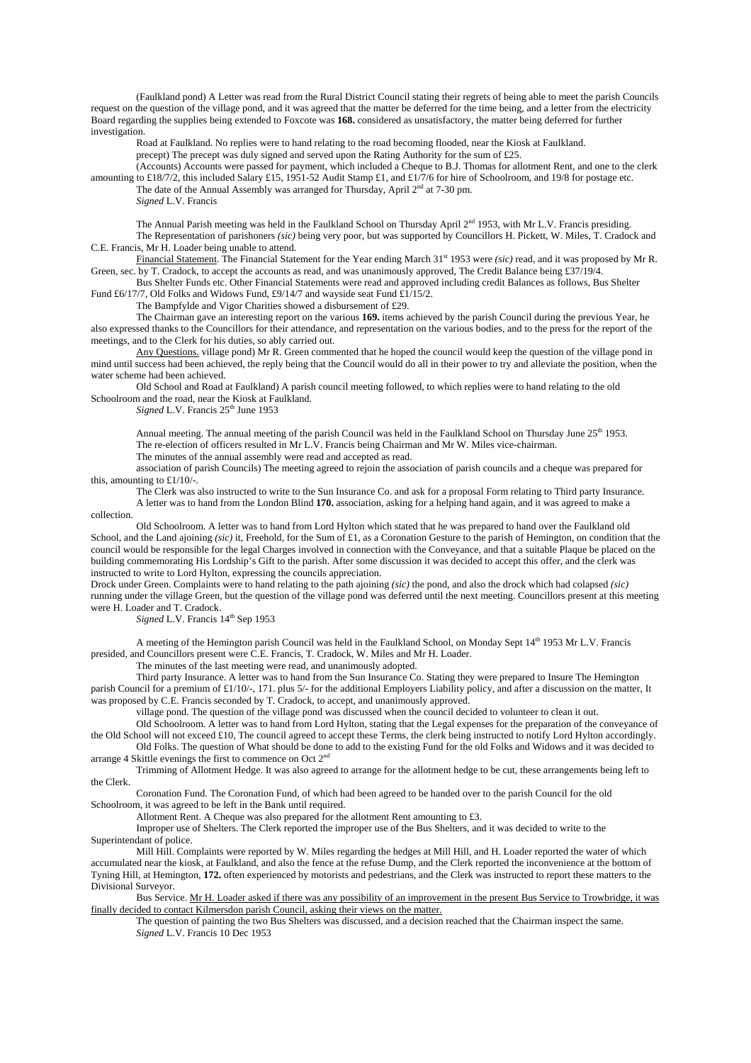(Faulkland pond) A Letter was read from the Rural District Council stating their regrets of being able to meet the parish Councils request on the question of the village pond, and it was agreed that the matter be deferred for the time being, and a letter from the electricity Board regarding the supplies being extended to Foxcote was **168.** considered as unsatisfactory, the matter being deferred for further investigation.

Road at Faulkland. No replies were to hand relating to the road becoming flooded, near the Kiosk at Faulkland.

precept) The precept was duly signed and served upon the Rating Authority for the sum of £25.

(Accounts) Accounts were passed for payment, which included a Cheque to B.J. Thomas for allotment Rent, and one to the clerk amounting to £18/7/2, this included Salary £15, 1951-52 Audit Stamp £1, and £1/7/6 for hire of Schoolroom, and 19/8 for postage etc. The date of the Annual Assembly was arranged for Thursday, April  $2<sup>nd</sup>$  at 7-30 pm.

*Signed* L.V. Francis

The Annual Parish meeting was held in the Faulkland School on Thursday April 2<sup>nd</sup> 1953, with Mr L.V. Francis presiding. The Representation of parishoners *(sic)* being very poor, but was supported by Councillors H. Pickett, W. Miles, T. Cradock and C.E. Francis, Mr H. Loader being unable to attend.

Financial Statement. The Financial Statement for the Year ending March 31<sup>st</sup> 1953 were *(sic)* read, and it was proposed by Mr R. Green, sec. by T. Cradock, to accept the accounts as read, and was unanimously approved, The Credit Balance being £37/19/4.

Bus Shelter Funds etc. Other Financial Statements were read and approved including credit Balances as follows, Bus Shelter Fund £6/17/7, Old Folks and Widows Fund, £9/14/7 and wayside seat Fund £1/15/2.

The Bampfylde and Vigor Charities showed a disbursement of £29.

The Chairman gave an interesting report on the various **169.** items achieved by the parish Council during the previous Year, he also expressed thanks to the Councillors for their attendance, and representation on the various bodies, and to the press for the report of the meetings, and to the Clerk for his duties, so ably carried out.

Any Questions. village pond) Mr R. Green commented that he hoped the council would keep the question of the village pond in mind until success had been achieved, the reply being that the Council would do all in their power to try and alleviate the position, when the water scheme had been achieved.

Old School and Road at Faulkland) A parish council meeting followed, to which replies were to hand relating to the old Schoolroom and the road, near the Kiosk at Faulkland.

*Signed* L.V. Francis  $25<sup>th</sup>$  June 1953

Annual meeting. The annual meeting of the parish Council was held in the Faulkland School on Thursday June 25<sup>th</sup> 1953. The re-election of officers resulted in Mr L.V. Francis being Chairman and Mr W. Miles vice-chairman.

The minutes of the annual assembly were read and accepted as read.

association of parish Councils) The meeting agreed to rejoin the association of parish councils and a cheque was prepared for this, amounting to £1/10/-.

The Clerk was also instructed to write to the Sun Insurance Co. and ask for a proposal Form relating to Third party Insurance. A letter was to hand from the London Blind **170.** association, asking for a helping hand again, and it was agreed to make a

collection.

Old Schoolroom. A letter was to hand from Lord Hylton which stated that he was prepared to hand over the Faulkland old School, and the Land ajoining *(sic)* it, Freehold, for the Sum of £1, as a Coronation Gesture to the parish of Hemington, on condition that the council would be responsible for the legal Charges involved in connection with the Conveyance, and that a suitable Plaque be placed on the building commemorating His Lordship's Gift to the parish. After some discussion it was decided to accept this offer, and the clerk was instructed to write to Lord Hylton, expressing the councils appreciation.

Drock under Green. Complaints were to hand relating to the path ajoining *(sic)* the pond, and also the drock which had colapsed *(sic)* running under the village Green, but the question of the village pond was deferred until the next meeting. Councillors present at this meeting were H. Loader and T. Cradock.

*Signed* L.V. Francis 14<sup>th</sup> Sep 1953

A meeting of the Hemington parish Council was held in the Faulkland School, on Monday Sept 14<sup>th</sup> 1953 Mr L.V. Francis presided, and Councillors present were C.E. Francis, T. Cradock, W. Miles and Mr H. Loader.

The minutes of the last meeting were read, and unanimously adopted.

Third party Insurance. A letter was to hand from the Sun Insurance Co. Stating they were prepared to Insure The Hemington parish Council for a premium of £1/10/-, 171. plus 5/- for the additional Employers Liability policy, and after a discussion on the matter, It was proposed by C.E. Francis seconded by T. Cradock, to accept, and unanimously approved.

village pond. The question of the village pond was discussed when the council decided to volunteer to clean it out.

Old Schoolroom. A letter was to hand from Lord Hylton, stating that the Legal expenses for the preparation of the conveyance of the Old School will not exceed £10, The council agreed to accept these Terms, the clerk being instructed to notify Lord Hylton accordingly.

Old Folks. The question of What should be done to add to the existing Fund for the old Folks and Widows and it was decided to arrange 4 Skittle evenings the first to commence on Oct  $2<sup>n</sup>$ 

Trimming of Allotment Hedge. It was also agreed to arrange for the allotment hedge to be cut, these arrangements being left to the Clerk.

Coronation Fund. The Coronation Fund, of which had been agreed to be handed over to the parish Council for the old Schoolroom, it was agreed to be left in the Bank until required.

Allotment Rent. A Cheque was also prepared for the allotment Rent amounting to £3.

Improper use of Shelters. The Clerk reported the improper use of the Bus Shelters, and it was decided to write to the Superintendant of police.

Mill Hill. Complaints were reported by W. Miles regarding the hedges at Mill Hill, and H. Loader reported the water of which accumulated near the kiosk, at Faulkland, and also the fence at the refuse Dump, and the Clerk reported the inconvenience at the bottom of Tyning Hill, at Hemington, **172.** often experienced by motorists and pedestrians, and the Clerk was instructed to report these matters to the Divisional Surveyor.

Bus Service. Mr H. Loader asked if there was any possibility of an improvement in the present Bus Service to Trowbridge, it was finally decided to contact Kilmersdon parish Council, asking their views on the matter.

The question of painting the two Bus Shelters was discussed, and a decision reached that the Chairman inspect the same. *Signed* L.V. Francis 10 Dec 1953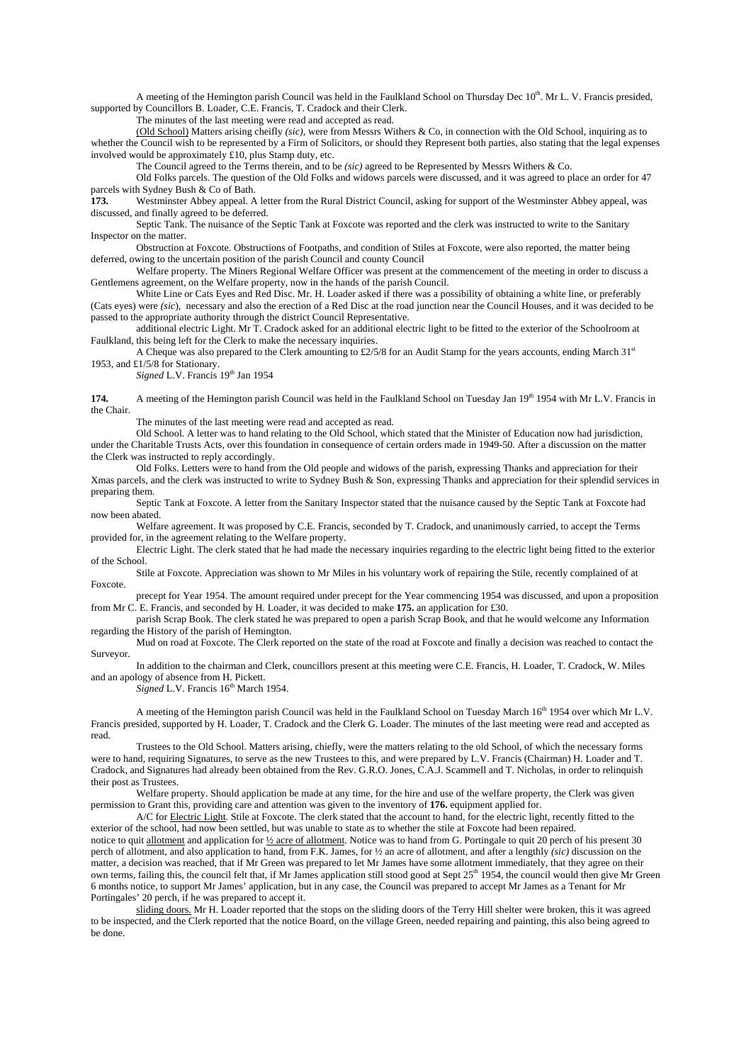A meeting of the Hemington parish Council was held in the Faulkland School on Thursday Dec  $10^{th}$ . Mr L. V. Francis presided, supported by Councillors B. Loader, C.E. Francis, T. Cradock and their Clerk.

The minutes of the last meeting were read and accepted as read.

(Old School) Matters arising cheifly *(sic),* were from Messrs Withers & Co, in connection with the Old School, inquiring as to whether the Council wish to be represented by a Firm of Solicitors, or should they Represent both parties, also stating that the legal expenses involved would be approximately £10, plus Stamp duty, etc.

The Council agreed to the Terms therein, and to be *(sic)* agreed to be Represented by Messrs Withers & Co.

Old Folks parcels. The question of the Old Folks and widows parcels were discussed, and it was agreed to place an order for 47 parcels with Sydney Bush & Co of Bath.

**173.** Westminster Abbey appeal. A letter from the Rural District Council, asking for support of the Westminster Abbey appeal, was discussed, and finally agreed to be deferred.

Septic Tank. The nuisance of the Septic Tank at Foxcote was reported and the clerk was instructed to write to the Sanitary Inspector on the matter.

Obstruction at Foxcote. Obstructions of Footpaths, and condition of Stiles at Foxcote, were also reported, the matter being deferred, owing to the uncertain position of the parish Council and county Council

Welfare property. The Miners Regional Welfare Officer was present at the commencement of the meeting in order to discuss a Gentlemens agreement, on the Welfare property, now in the hands of the parish Council.

White Line or Cats Eyes and Red Disc. Mr. H. Loader asked if there was a possibility of obtaining a white line, or preferably (Cats eyes) were *(sic*), necessary and also the erection of a Red Disc at the road junction near the Council Houses, and it was decided to be passed to the appropriate authority through the district Council Representative.

additional electric Light. Mr T. Cradock asked for an additional electric light to be fitted to the exterior of the Schoolroom at Faulkland, this being left for the Clerk to make the necessary inquiries.

A Cheque was also prepared to the Clerk amounting to £2/5/8 for an Audit Stamp for the years accounts, ending March 31st 1953, and £1/5/8 for Stationary.

*Signed* L.V. Francis 19<sup>th</sup> Jan 1954

**174.** A meeting of the Hemington parish Council was held in the Faulkland School on Tuesday Jan 19<sup>th</sup> 1954 with Mr L.V. Francis in the Chair.

The minutes of the last meeting were read and accepted as read.

Old School. A letter was to hand relating to the Old School, which stated that the Minister of Education now had jurisdiction, under the Charitable Trusts Acts, over this foundation in consequence of certain orders made in 1949-50. After a discussion on the matter the Clerk was instructed to reply accordingly.

Old Folks. Letters were to hand from the Old people and widows of the parish, expressing Thanks and appreciation for their Xmas parcels, and the clerk was instructed to write to Sydney Bush & Son, expressing Thanks and appreciation for their splendid services in preparing them.

Septic Tank at Foxcote. A letter from the Sanitary Inspector stated that the nuisance caused by the Septic Tank at Foxcote had now been abated.

Welfare agreement. It was proposed by C.E. Francis, seconded by T. Cradock, and unanimously carried, to accept the Terms provided for, in the agreement relating to the Welfare property.

Electric Light. The clerk stated that he had made the necessary inquiries regarding to the electric light being fitted to the exterior of the School.

Stile at Foxcote. Appreciation was shown to Mr Miles in his voluntary work of repairing the Stile, recently complained of at Foxcote.

precept for Year 1954. The amount required under precept for the Year commencing 1954 was discussed, and upon a proposition from Mr C. E. Francis, and seconded by H. Loader, it was decided to make **175.** an application for £30.

parish Scrap Book. The clerk stated he was prepared to open a parish Scrap Book, and that he would welcome any Information regarding the History of the parish of Hemington.

Mud on road at Foxcote. The Clerk reported on the state of the road at Foxcote and finally a decision was reached to contact the Surveyor.

In addition to the chairman and Clerk, councillors present at this meeting were C.E. Francis, H. Loader, T. Cradock, W. Miles and an apology of absence from H. Pickett.

*Signed* L.V. Francis 16<sup>th</sup> March 1954.

A meeting of the Hemington parish Council was held in the Faulkland School on Tuesday March 16<sup>th</sup> 1954 over which Mr L.V. Francis presided, supported by H. Loader, T. Cradock and the Clerk G. Loader. The minutes of the last meeting were read and accepted as read.

Trustees to the Old School. Matters arising, chiefly, were the matters relating to the old School, of which the necessary forms were to hand, requiring Signatures, to serve as the new Trustees to this, and were prepared by L.V. Francis (Chairman) H. Loader and T. Cradock, and Signatures had already been obtained from the Rev. G.R.O. Jones, C.A.J. Scammell and T. Nicholas, in order to relinquish their post as Trustees.

Welfare property. Should application be made at any time, for the hire and use of the welfare property, the Clerk was given permission to Grant this, providing care and attention was given to the inventory of **176.** equipment applied for.

A/C for Electric Light. Stile at Foxcote. The clerk stated that the account to hand, for the electric light, recently fitted to the exterior of the school, had now been settled, but was unable to state as to whether the stile at Foxcote had been repaired.

notice to quit allotment and application for  $\frac{1}{2}$  acre of allotment. Notice was to hand from G. Portingale to quit 20 perch of his present 30 perch of allotment, and also application to hand, from F.K. James, for ½ an acre of allotment, and after a lengthly *(sic)* discussion on the matter, a decision was reached, that if Mr Green was prepared to let Mr James have some allotment immediately, that they agree on their own terms, failing this, the council felt that, if Mr James application still stood good at Sept 25<sup>th</sup> 1954, the council would then give Mr Green 6 months notice, to support Mr James' application, but in any case, the Council was prepared to accept Mr James as a Tenant for Mr Portingales' 20 perch, if he was prepared to accept it.

sliding doors. Mr H. Loader reported that the stops on the sliding doors of the Terry Hill shelter were broken, this it was agreed to be inspected, and the Clerk reported that the notice Board, on the village Green, needed repairing and painting, this also being agreed to be done.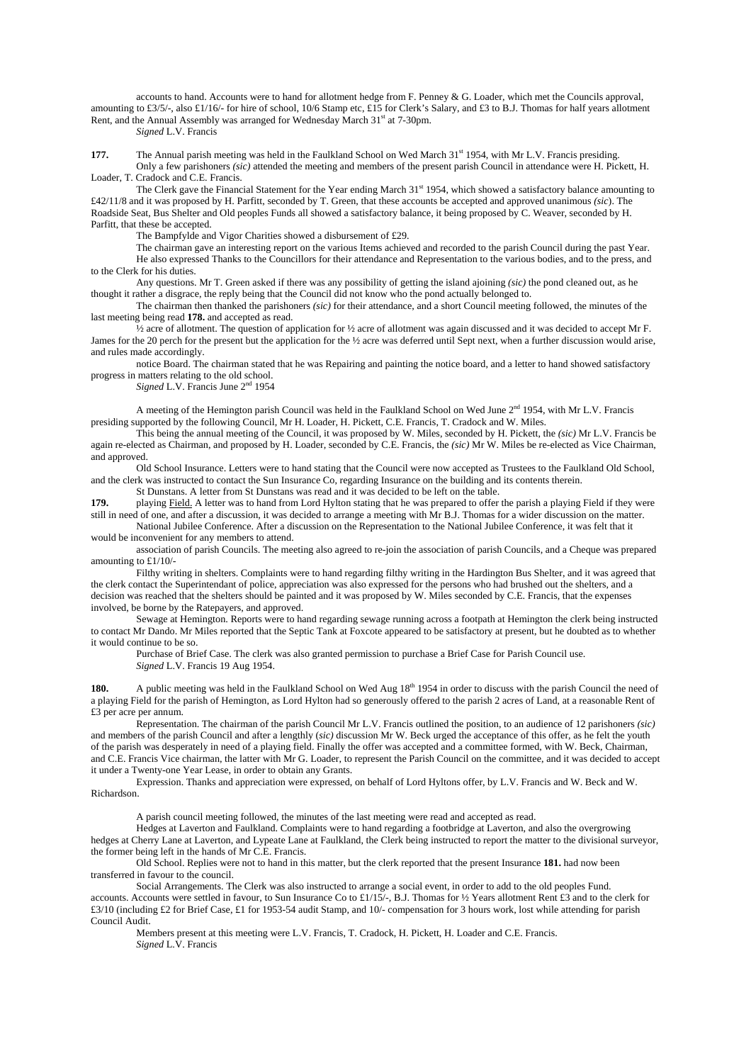accounts to hand. Accounts were to hand for allotment hedge from F. Penney & G. Loader, which met the Councils approval, amounting to £3/5/-, also £1/16/- for hire of school, 10/6 Stamp etc, £15 for Clerk's Salary, and £3 to B.J. Thomas for half years allotment Rent, and the Annual Assembly was arranged for Wednesday March 31<sup>st</sup> at 7-30pm.

*Signed* L.V. Francis

**177.** The Annual parish meeting was held in the Faulkland School on Wed March 31<sup>st</sup> 1954, with Mr L.V. Francis presiding. Only a few parishoners *(sic)* attended the meeting and members of the present parish Council in attendance were H. Pickett, H. Loader, T. Cradock and C.E. Francis.

The Clerk gave the Financial Statement for the Year ending March 31<sup>st</sup> 1954, which showed a satisfactory balance amounting to £42/11/8 and it was proposed by H. Parfitt, seconded by T. Green, that these accounts be accepted and approved unanimous *(sic*). The Roadside Seat, Bus Shelter and Old peoples Funds all showed a satisfactory balance, it being proposed by C. Weaver, seconded by H. Parfitt, that these be accepted.

The Bampfylde and Vigor Charities showed a disbursement of £29.

The chairman gave an interesting report on the various Items achieved and recorded to the parish Council during the past Year. He also expressed Thanks to the Councillors for their attendance and Representation to the various bodies, and to the press, and to the Clerk for his duties.

Any questions. Mr T. Green asked if there was any possibility of getting the island ajoining *(sic)* the pond cleaned out, as he thought it rather a disgrace, the reply being that the Council did not know who the pond actually belonged to.

The chairman then thanked the parishoners *(sic)* for their attendance, and a short Council meeting followed, the minutes of the last meeting being read **178.** and accepted as read.

 $\frac{V_2}{V_1}$  acre of allotment. The question of application for  $\frac{V_2}{V_2}$  acre of allotment was again discussed and it was decided to accept Mr F. James for the 20 perch for the present but the application for the ½ acre was deferred until Sept next, when a further discussion would arise, and rules made accordingly.

notice Board. The chairman stated that he was Repairing and painting the notice board, and a letter to hand showed satisfactory progress in matters relating to the old school.

*Signed* L.V. Francis June 2nd 1954

A meeting of the Hemington parish Council was held in the Faulkland School on Wed June 2<sup>nd</sup> 1954, with Mr L.V. Francis presiding supported by the following Council, Mr H. Loader, H. Pickett, C.E. Francis, T. Cradock and W. Miles.

This being the annual meeting of the Council, it was proposed by W. Miles, seconded by H. Pickett, the *(sic)* Mr L.V. Francis be again re-elected as Chairman, and proposed by H. Loader, seconded by C.E. Francis, the *(sic)* Mr W. Miles be re-elected as Vice Chairman, and approved.

Old School Insurance. Letters were to hand stating that the Council were now accepted as Trustees to the Faulkland Old School, and the clerk was instructed to contact the Sun Insurance Co, regarding Insurance on the building and its contents therein.

St Dunstans. A letter from St Dunstans was read and it was decided to be left on the table.

**179.** playing Field. A letter was to hand from Lord Hylton stating that he was prepared to offer the parish a playing Field if they were still in need of one, and after a discussion, it was decided to arrange a meeting with Mr B.J. Thomas for a wider discussion on the matter.

National Jubilee Conference. After a discussion on the Representation to the National Jubilee Conference, it was felt that it would be inconvenient for any members to attend.

association of parish Councils. The meeting also agreed to re-join the association of parish Councils, and a Cheque was prepared amounting to £1/10/-

Filthy writing in shelters. Complaints were to hand regarding filthy writing in the Hardington Bus Shelter, and it was agreed that the clerk contact the Superintendant of police, appreciation was also expressed for the persons who had brushed out the shelters, and a decision was reached that the shelters should be painted and it was proposed by W. Miles seconded by C.E. Francis, that the expenses involved, be borne by the Ratepayers, and approved.

Sewage at Hemington. Reports were to hand regarding sewage running across a footpath at Hemington the clerk being instructed to contact Mr Dando. Mr Miles reported that the Septic Tank at Foxcote appeared to be satisfactory at present, but he doubted as to whether it would continue to be so.

Purchase of Brief Case. The clerk was also granted permission to purchase a Brief Case for Parish Council use. *Signed* L.V. Francis 19 Aug 1954.

**180.** A public meeting was held in the Faulkland School on Wed Aug 18<sup>th</sup> 1954 in order to discuss with the parish Council the need of a playing Field for the parish of Hemington, as Lord Hylton had so generously offered to the parish 2 acres of Land, at a reasonable Rent of £3 per acre per annum.

Representation. The chairman of the parish Council Mr L.V. Francis outlined the position, to an audience of 12 parishoners *(sic)* and members of the parish Council and after a lengthly (*sic)* discussion Mr W. Beck urged the acceptance of this offer, as he felt the youth of the parish was desperately in need of a playing field. Finally the offer was accepted and a committee formed, with W. Beck, Chairman, and C.E. Francis Vice chairman, the latter with Mr G. Loader, to represent the Parish Council on the committee, and it was decided to accept it under a Twenty-one Year Lease, in order to obtain any Grants.

Expression. Thanks and appreciation were expressed, on behalf of Lord Hyltons offer, by L.V. Francis and W. Beck and W. Richardson.

A parish council meeting followed, the minutes of the last meeting were read and accepted as read.

Hedges at Laverton and Faulkland. Complaints were to hand regarding a footbridge at Laverton, and also the overgrowing hedges at Cherry Lane at Laverton, and Lypeate Lane at Faulkland, the Clerk being instructed to report the matter to the divisional surveyor, the former being left in the hands of Mr C.E. Francis.

Old School. Replies were not to hand in this matter, but the clerk reported that the present Insurance **181.** had now been transferred in favour to the council.

Social Arrangements. The Clerk was also instructed to arrange a social event, in order to add to the old peoples Fund. accounts. Accounts were settled in favour, to Sun Insurance Co to  $\pounds1/15/$ -, B.J. Thomas for  $\frac{1}{2}$  Years allotment Rent  $\pounds3$  and to the clerk for £3/10 (including £2 for Brief Case, £1 for 1953-54 audit Stamp, and 10/- compensation for 3 hours work, lost while attending for parish Council Audit.

Members present at this meeting were L.V. Francis, T. Cradock, H. Pickett, H. Loader and C.E. Francis. *Signed* L.V. Francis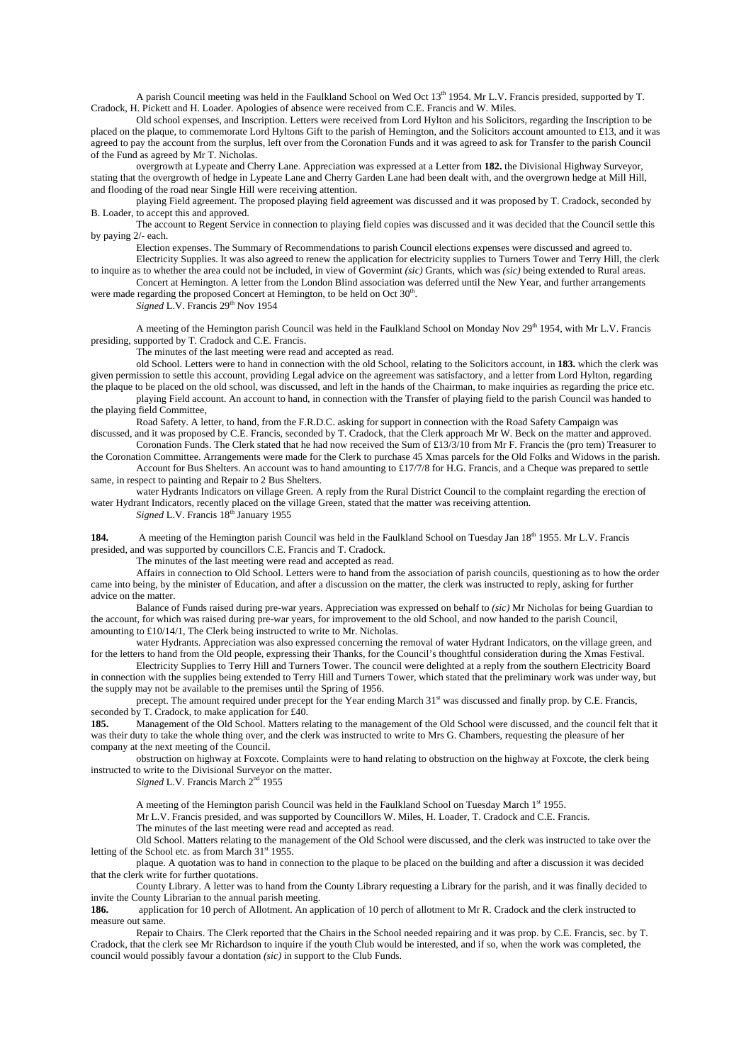A parish Council meeting was held in the Faulkland School on Wed Oct  $13<sup>th</sup> 1954$ . Mr L.V. Francis presided, supported by T. Cradock, H. Pickett and H. Loader. Apologies of absence were received from C.E. Francis and W. Miles.

Old school expenses, and Inscription. Letters were received from Lord Hylton and his Solicitors, regarding the Inscription to be placed on the plaque, to commemorate Lord Hyltons Gift to the parish of Hemington, and the Solicitors account amounted to £13, and it was agreed to pay the account from the surplus, left over from the Coronation Funds and it was agreed to ask for Transfer to the parish Council of the Fund as agreed by Mr T. Nicholas.

overgrowth at Lypeate and Cherry Lane. Appreciation was expressed at a Letter from **182.** the Divisional Highway Surveyor, stating that the overgrowth of hedge in Lypeate Lane and Cherry Garden Lane had been dealt with, and the overgrown hedge at Mill Hill, and flooding of the road near Single Hill were receiving attention.

playing Field agreement. The proposed playing field agreement was discussed and it was proposed by T. Cradock, seconded by B. Loader, to accept this and approved.

The account to Regent Service in connection to playing field copies was discussed and it was decided that the Council settle this by paying 2/- each.

Election expenses. The Summary of Recommendations to parish Council elections expenses were discussed and agreed to. Electricity Supplies. It was also agreed to renew the application for electricity supplies to Turners Tower and Terry Hill, the clerk

to inquire as to whether the area could not be included, in view of Govermint *(sic)* Grants, which was *(sic)* being extended to Rural areas. Concert at Hemington. A letter from the London Blind association was deferred until the New Year, and further arrangements

were made regarding the proposed Concert at Hemington, to be held on Oct  $30<sup>th</sup>$ .

*Signed* L.V. Francis 29<sup>th</sup> Nov 1954

A meeting of the Hemington parish Council was held in the Faulkland School on Monday Nov 29<sup>th</sup> 1954, with Mr L.V. Francis presiding, supported by T. Cradock and C.E. Francis.

The minutes of the last meeting were read and accepted as read.

old School. Letters were to hand in connection with the old School, relating to the Solicitors account, in **183.** which the clerk was given permission to settle this account, providing Legal advice on the agreement was satisfactory, and a letter from Lord Hylton, regarding the plaque to be placed on the old school, was discussed, and left in the hands of the Chairman, to make inquiries as regarding the price etc.

playing Field account. An account to hand, in connection with the Transfer of playing field to the parish Council was handed to the playing field Committee,

Road Safety. A letter, to hand, from the F.R.D.C. asking for support in connection with the Road Safety Campaign was discussed, and it was proposed by C.E. Francis, seconded by T. Cradock, that the Clerk approach Mr W. Beck on the matter and approved.

Coronation Funds. The Clerk stated that he had now received the Sum of £13/3/10 from Mr F. Francis the (pro tem) Treasurer to the Coronation Committee. Arrangements were made for the Clerk to purchase 45 Xmas parcels for the Old Folks and Widows in the parish.

Account for Bus Shelters. An account was to hand amounting to £17/7/8 for H.G. Francis, and a Cheque was prepared to settle same, in respect to painting and Repair to 2 Bus Shelters.

water Hydrants Indicators on village Green. A reply from the Rural District Council to the complaint regarding the erection of water Hydrant Indicators, recently placed on the village Green, stated that the matter was receiving attention. *Signed* L.V. Francis  $18<sup>th</sup>$  January 1955

184. A meeting of the Hemington parish Council was held in the Faulkland School on Tuesday Jan 18<sup>th</sup> 1955. Mr L.V. Francis presided, and was supported by councillors C.E. Francis and T. Cradock.

The minutes of the last meeting were read and accepted as read.

Affairs in connection to Old School. Letters were to hand from the association of parish councils, questioning as to how the order came into being, by the minister of Education, and after a discussion on the matter, the clerk was instructed to reply, asking for further advice on the matter.

Balance of Funds raised during pre-war years. Appreciation was expressed on behalf to *(sic)* Mr Nicholas for being Guardian to the account, for which was raised during pre-war years, for improvement to the old School, and now handed to the parish Council, amounting to £10/14/1, The Clerk being instructed to write to Mr. Nicholas.

water Hydrants. Appreciation was also expressed concerning the removal of water Hydrant Indicators, on the village green, and for the letters to hand from the Old people, expressing their Thanks, for the Council's thoughtful consideration during the Xmas Festival.

Electricity Supplies to Terry Hill and Turners Tower. The council were delighted at a reply from the southern Electricity Board in connection with the supplies being extended to Terry Hill and Turners Tower, which stated that the preliminary work was under way, but the supply may not be available to the premises until the Spring of 1956.

precept. The amount required under precept for the Year ending March 31<sup>st</sup> was discussed and finally prop. by C.E. Francis, seconded by T. Cradock, to make application for £40.<br>**185.** Management of the Old School Matters re

**185.** Management of the Old School. Matters relating to the management of the Old School were discussed, and the council felt that it was their duty to take the whole thing over, and the clerk was instructed to write to Mrs G. Chambers, requesting the pleasure of her company at the next meeting of the Council.

obstruction on highway at Foxcote. Complaints were to hand relating to obstruction on the highway at Foxcote, the clerk being instructed to write to the Divisional Surveyor on the matter.

*Signed* L.V. Francis March 2<sup>nd</sup> 1955

A meeting of the Hemington parish Council was held in the Faulkland School on Tuesday March 1st 1955.

Mr L.V. Francis presided, and was supported by Councillors W. Miles, H. Loader, T. Cradock and C.E. Francis.

The minutes of the last meeting were read and accepted as read.

Old School. Matters relating to the management of the Old School were discussed, and the clerk was instructed to take over the letting of the School etc. as from March  $31<sup>st</sup> 1955$ .

plaque. A quotation was to hand in connection to the plaque to be placed on the building and after a discussion it was decided that the clerk write for further quotations.

County Library. A letter was to hand from the County Library requesting a Library for the parish, and it was finally decided to invite the County Librarian to the annual parish meeting.

**186.** application for 10 perch of Allotment. An application of 10 perch of allotment to Mr R. Cradock and the clerk instructed to measure out same.

Repair to Chairs. The Clerk reported that the Chairs in the School needed repairing and it was prop. by C.E. Francis, sec. by T. Cradock, that the clerk see Mr Richardson to inquire if the youth Club would be interested, and if so, when the work was completed, the council would possibly favour a dontation *(sic)* in support to the Club Funds.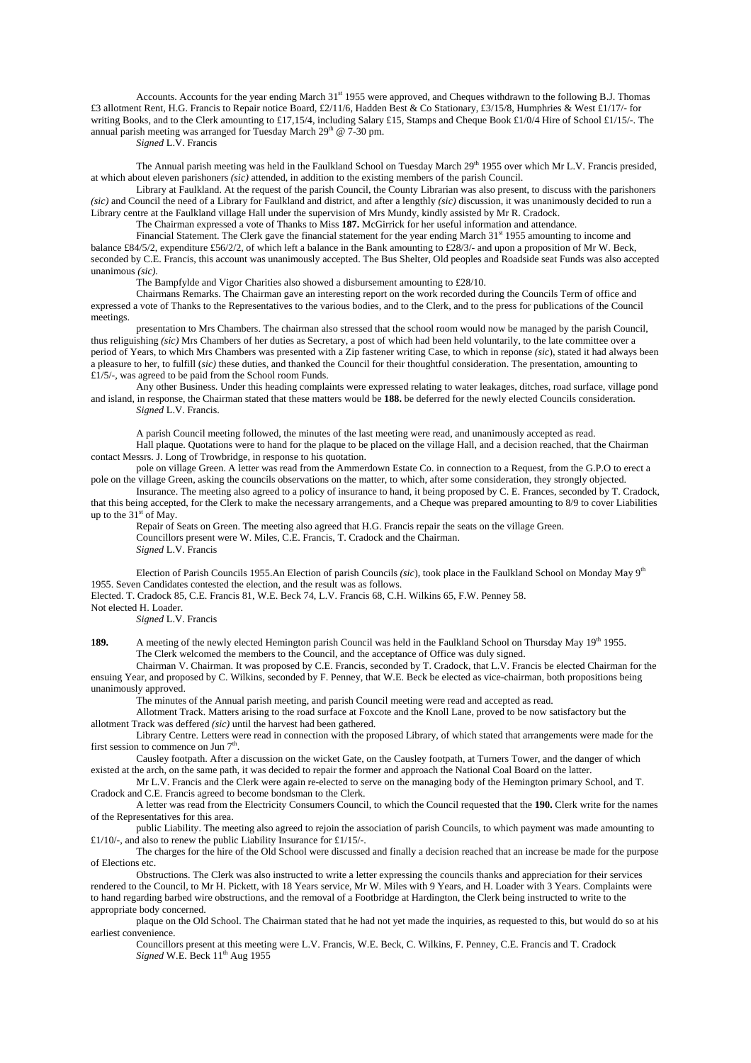Accounts. Accounts for the year ending March 31<sup>st</sup> 1955 were approved, and Cheques withdrawn to the following B.J. Thomas £3 allotment Rent, H.G. Francis to Repair notice Board, £2/11/6, Hadden Best & Co Stationary, £3/15/8, Humphries & West £1/17/- for writing Books, and to the Clerk amounting to £17,15/4, including Salary £15, Stamps and Cheque Book £1/0/4 Hire of School £1/15/-. The annual parish meeting was arranged for Tuesday March 29<sup>th</sup> @  $7-30$  pm.

*Signed* L.V. Francis

The Annual parish meeting was held in the Faulkland School on Tuesday March 29<sup>th</sup> 1955 over which Mr L.V. Francis presided, at which about eleven parishoners *(sic)* attended, in addition to the existing members of the parish Council.

Library at Faulkland. At the request of the parish Council, the County Librarian was also present, to discuss with the parishoners *(sic)* and Council the need of a Library for Faulkland and district, and after a lengthly *(sic)* discussion, it was unanimously decided to run a Library centre at the Faulkland village Hall under the supervision of Mrs Mundy, kindly assisted by Mr R. Cradock.

The Chairman expressed a vote of Thanks to Miss **187.** McGirrick for her useful information and attendance.

Financial Statement. The Clerk gave the financial statement for the year ending March 31<sup>st</sup> 1955 amounting to income and balance £84/5/2, expenditure £56/2/2, of which left a balance in the Bank amounting to £28/3/- and upon a proposition of Mr W. Beck, seconded by C.E. Francis, this account was unanimously accepted. The Bus Shelter, Old peoples and Roadside seat Funds was also accepted unanimous *(sic).*

The Bampfylde and Vigor Charities also showed a disbursement amounting to £28/10.

Chairmans Remarks. The Chairman gave an interesting report on the work recorded during the Councils Term of office and expressed a vote of Thanks to the Representatives to the various bodies, and to the Clerk, and to the press for publications of the Council meetings.

presentation to Mrs Chambers. The chairman also stressed that the school room would now be managed by the parish Council, thus religuishing *(sic)* Mrs Chambers of her duties as Secretary, a post of which had been held voluntarily, to the late committee over a period of Years, to which Mrs Chambers was presented with a Zip fastener writing Case, to which in reponse *(sic*), stated it had always been a pleasure to her, to fulfill (*sic)* these duties, and thanked the Council for their thoughtful consideration. The presentation, amounting to  $£1/5/$ -, was agreed to be paid from the School room Funds.

Any other Business. Under this heading complaints were expressed relating to water leakages, ditches, road surface, village pond and island, in response, the Chairman stated that these matters would be **188.** be deferred for the newly elected Councils consideration. *Signed* L.V. Francis.

A parish Council meeting followed, the minutes of the last meeting were read, and unanimously accepted as read.

Hall plaque. Quotations were to hand for the plaque to be placed on the village Hall, and a decision reached, that the Chairman contact Messrs. J. Long of Trowbridge, in response to his quotation.

pole on village Green. A letter was read from the Ammerdown Estate Co. in connection to a Request, from the G.P.O to erect a pole on the village Green, asking the councils observations on the matter, to which, after some consideration, they strongly objected.

Insurance. The meeting also agreed to a policy of insurance to hand, it being proposed by C. E. Frances, seconded by T. Cradock, that this being accepted, for the Clerk to make the necessary arrangements, and a Cheque was prepared amounting to 8/9 to cover Liabilities up to the  $31<sup>st</sup>$  of May.

Repair of Seats on Green. The meeting also agreed that H.G. Francis repair the seats on the village Green. Councillors present were W. Miles, C.E. Francis, T. Cradock and the Chairman. *Signed* L.V. Francis

Election of Parish Councils 1955.An Election of parish Councils *(sic*), took place in the Faulkland School on Monday May 9th 1955. Seven Candidates contested the election, and the result was as follows.

Elected. T. Cradock 85, C.E. Francis 81, W.E. Beck 74, L.V. Francis 68, C.H. Wilkins 65, F.W. Penney 58.

Not elected H. Loader.

*Signed* L.V. Francis

**189.** A meeting of the newly elected Hemington parish Council was held in the Faulkland School on Thursday May 19<sup>th</sup> 1955. The Clerk welcomed the members to the Council, and the acceptance of Office was duly signed.

Chairman V. Chairman. It was proposed by C.E. Francis, seconded by T. Cradock, that L.V. Francis be elected Chairman for the ensuing Year, and proposed by C. Wilkins, seconded by F. Penney, that W.E. Beck be elected as vice-chairman, both propositions being unanimously approved.

The minutes of the Annual parish meeting, and parish Council meeting were read and accepted as read.

Allotment Track. Matters arising to the road surface at Foxcote and the Knoll Lane, proved to be now satisfactory but the allotment Track was deffered *(sic)* until the harvest had been gathered.

Library Centre. Letters were read in connection with the proposed Library, of which stated that arrangements were made for the first session to commence on Jun  $7<sup>th</sup>$ .

Causley footpath. After a discussion on the wicket Gate, on the Causley footpath, at Turners Tower, and the danger of which existed at the arch, on the same path, it was decided to repair the former and approach the National Coal Board on the latter.

Mr L.V. Francis and the Clerk were again re-elected to serve on the managing body of the Hemington primary School, and T. Cradock and C.E. Francis agreed to become bondsman to the Clerk.

A letter was read from the Electricity Consumers Council, to which the Council requested that the **190.** Clerk write for the names of the Representatives for this area.

public Liability. The meeting also agreed to rejoin the association of parish Councils, to which payment was made amounting to £1/10/-, and also to renew the public Liability Insurance for £1/15/-.

The charges for the hire of the Old School were discussed and finally a decision reached that an increase be made for the purpose of Elections etc.

Obstructions. The Clerk was also instructed to write a letter expressing the councils thanks and appreciation for their services rendered to the Council, to Mr H. Pickett, with 18 Years service, Mr W. Miles with 9 Years, and H. Loader with 3 Years. Complaints were to hand regarding barbed wire obstructions, and the removal of a Footbridge at Hardington, the Clerk being instructed to write to the appropriate body concerned.

plaque on the Old School. The Chairman stated that he had not yet made the inquiries, as requested to this, but would do so at his earliest convenience.

Councillors present at this meeting were L.V. Francis, W.E. Beck, C. Wilkins, F. Penney, C.E. Francis and T. Cradock *Signed* W.E. Beck  $11<sup>th</sup>$  Aug 1955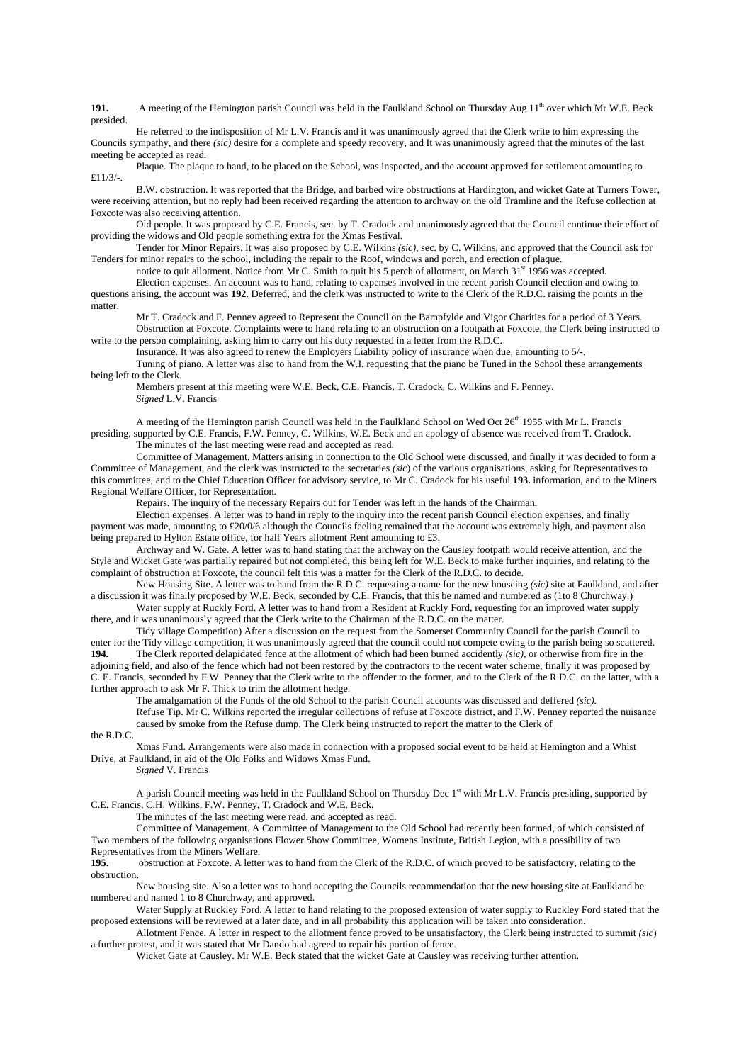**191.** A meeting of the Hemington parish Council was held in the Faulkland School on Thursday Aug 11<sup>th</sup> over which Mr W.E. Beck presided.

He referred to the indisposition of Mr L.V. Francis and it was unanimously agreed that the Clerk write to him expressing the Councils sympathy, and there *(sic)* desire for a complete and speedy recovery, and It was unanimously agreed that the minutes of the last meeting be accepted as read.

Plaque. The plaque to hand, to be placed on the School, was inspected, and the account approved for settlement amounting to £11/3/-.

B.W. obstruction. It was reported that the Bridge, and barbed wire obstructions at Hardington, and wicket Gate at Turners Tower, were receiving attention, but no reply had been received regarding the attention to archway on the old Tramline and the Refuse collection at Foxcote was also receiving attention.

Old people. It was proposed by C.E. Francis, sec. by T. Cradock and unanimously agreed that the Council continue their effort of providing the widows and Old people something extra for the Xmas Festival.

Tender for Minor Repairs. It was also proposed by C.E. Wilkins *(sic),* sec. by C. Wilkins, and approved that the Council ask for Tenders for minor repairs to the school, including the repair to the Roof, windows and porch, and erection of plaque.

notice to quit allotment. Notice from Mr C. Smith to quit his 5 perch of allotment, on March 31<sup>st</sup> 1956 was accepted. Election expenses. An account was to hand, relating to expenses involved in the recent parish Council election and owing to

questions arising, the account was **192**. Deferred, and the clerk was instructed to write to the Clerk of the R.D.C. raising the points in the matter.

Mr T. Cradock and F. Penney agreed to Represent the Council on the Bampfylde and Vigor Charities for a period of 3 Years. Obstruction at Foxcote. Complaints were to hand relating to an obstruction on a footpath at Foxcote, the Clerk being instructed to write to the person complaining, asking him to carry out his duty requested in a letter from the R.D.C.

Insurance. It was also agreed to renew the Employers Liability policy of insurance when due, amounting to 5/-. Tuning of piano. A letter was also to hand from the W.I. requesting that the piano be Tuned in the School these arrangements

being left to the Clerk.

Members present at this meeting were W.E. Beck, C.E. Francis, T. Cradock, C. Wilkins and F. Penney. *Signed* L.V. Francis

A meeting of the Hemington parish Council was held in the Faulkland School on Wed Oct 26<sup>th</sup> 1955 with Mr L. Francis presiding, supported by C.E. Francis, F.W. Penney, C. Wilkins, W.E. Beck and an apology of absence was received from T. Cradock. The minutes of the last meeting were read and accepted as read.

Committee of Management. Matters arising in connection to the Old School were discussed, and finally it was decided to form a Committee of Management, and the clerk was instructed to the secretaries *(sic*) of the various organisations, asking for Representatives to this committee, and to the Chief Education Officer for advisory service, to Mr C. Cradock for his useful **193.** information, and to the Miners Regional Welfare Officer, for Representation.

Repairs. The inquiry of the necessary Repairs out for Tender was left in the hands of the Chairman.

Election expenses. A letter was to hand in reply to the inquiry into the recent parish Council election expenses, and finally payment was made, amounting to £20/0/6 although the Councils feeling remained that the account was extremely high, and payment also being prepared to Hylton Estate office, for half Years allotment Rent amounting to £3.

Archway and W. Gate. A letter was to hand stating that the archway on the Causley footpath would receive attention, and the Style and Wicket Gate was partially repaired but not completed, this being left for W.E. Beck to make further inquiries, and relating to the complaint of obstruction at Foxcote, the council felt this was a matter for the Clerk of the R.D.C. to decide.

New Housing Site. A letter was to hand from the R.D.C. requesting a name for the new houseing *(sic)* site at Faulkland, and after a discussion it was finally proposed by W.E. Beck, seconded by C.E. Francis, that this be named and numbered as (1to 8 Churchway.)

Water supply at Ruckly Ford. A letter was to hand from a Resident at Ruckly Ford, requesting for an improved water supply there, and it was unanimously agreed that the Clerk write to the Chairman of the R.D.C. on the matter.

Tidy village Competition) After a discussion on the request from the Somerset Community Council for the parish Council to enter for the Tidy village competition, it was unanimously agreed that the council could not compete owing to the parish being so scattered. **194.** The Clerk reported delapidated fence at the allotment of which had been burned accidently *(sic),* or otherwise from fire in the adjoining field, and also of the fence which had not been restored by the contractors to the recent water scheme, finally it was proposed by C. E. Francis, seconded by F.W. Penney that the Clerk write to the offender to the former, and to the Clerk of the R.D.C. on the latter, with a further approach to ask Mr F. Thick to trim the allotment hedge.

The amalgamation of the Funds of the old School to the parish Council accounts was discussed and deffered *(sic).*

Refuse Tip. Mr C. Wilkins reported the irregular collections of refuse at Foxcote district, and F.W. Penney reported the nuisance caused by smoke from the Refuse dump. The Clerk being instructed to report the matter to the Clerk of

the R.D.C.

Xmas Fund. Arrangements were also made in connection with a proposed social event to be held at Hemington and a Whist Drive, at Faulkland, in aid of the Old Folks and Widows Xmas Fund.

*Signed* V. Francis

A parish Council meeting was held in the Faulkland School on Thursday Dec  $1<sup>st</sup>$  with Mr L.V. Francis presiding, supported by C.E. Francis, C.H. Wilkins, F.W. Penney, T. Cradock and W.E. Beck.

The minutes of the last meeting were read, and accepted as read.

Committee of Management. A Committee of Management to the Old School had recently been formed, of which consisted of Two members of the following organisations Flower Show Committee, Womens Institute, British Legion, with a possibility of two Representatives from the Miners Welfare.<br>195. Construction at Foxcote. A letter

**195.** obstruction at Foxcote. A letter was to hand from the Clerk of the R.D.C. of which proved to be satisfactory, relating to the obstruction.

New housing site. Also a letter was to hand accepting the Councils recommendation that the new housing site at Faulkland be numbered and named 1 to 8 Churchway, and approved.

Water Supply at Ruckley Ford. A letter to hand relating to the proposed extension of water supply to Ruckley Ford stated that the proposed extensions will be reviewed at a later date, and in all probability this application will be taken into consideration.

Allotment Fence. A letter in respect to the allotment fence proved to be unsatisfactory, the Clerk being instructed to summit *(sic*) a further protest, and it was stated that Mr Dando had agreed to repair his portion of fence.

Wicket Gate at Causley. Mr W.E. Beck stated that the wicket Gate at Causley was receiving further attention.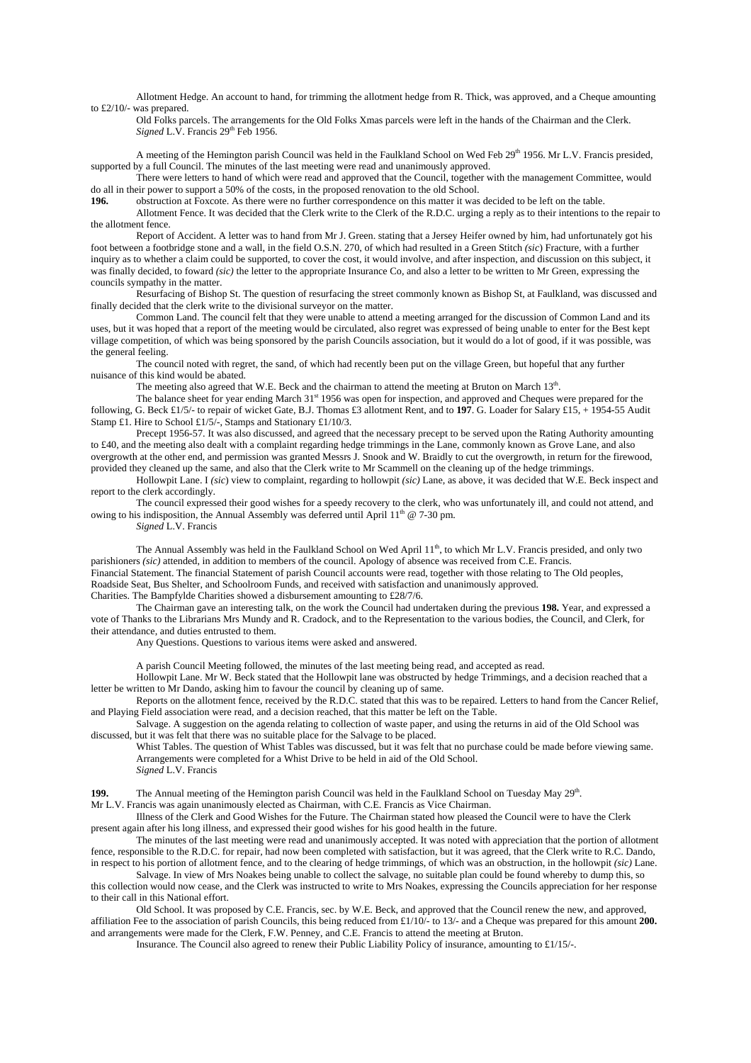Allotment Hedge. An account to hand, for trimming the allotment hedge from R. Thick, was approved, and a Cheque amounting to £2/10/- was prepared.

Old Folks parcels. The arrangements for the Old Folks Xmas parcels were left in the hands of the Chairman and the Clerk. *Signed* L.V. Francis 29<sup>th</sup> Feb 1956.

A meeting of the Hemington parish Council was held in the Faulkland School on Wed Feb 29<sup>th</sup> 1956. Mr L.V. Francis presided, supported by a full Council. The minutes of the last meeting were read and unanimously approved.

There were letters to hand of which were read and approved that the Council, together with the management Committee, would do all in their power to support a 50% of the costs, in the proposed renovation to the old School.

**196.** obstruction at Foxcote. As there were no further correspondence on this matter it was decided to be left on the table.

Allotment Fence. It was decided that the Clerk write to the Clerk of the R.D.C. urging a reply as to their intentions to the repair to the allotment fence.

Report of Accident. A letter was to hand from Mr J. Green. stating that a Jersey Heifer owned by him, had unfortunately got his foot between a footbridge stone and a wall, in the field O.S.N. 270, of which had resulted in a Green Stitch *(sic*) Fracture, with a further inquiry as to whether a claim could be supported, to cover the cost, it would involve, and after inspection, and discussion on this subject, it was finally decided, to foward *(sic)* the letter to the appropriate Insurance Co, and also a letter to be written to Mr Green, expressing the councils sympathy in the matter.

Resurfacing of Bishop St. The question of resurfacing the street commonly known as Bishop St, at Faulkland, was discussed and finally decided that the clerk write to the divisional surveyor on the matter.

Common Land. The council felt that they were unable to attend a meeting arranged for the discussion of Common Land and its uses, but it was hoped that a report of the meeting would be circulated, also regret was expressed of being unable to enter for the Best kept village competition, of which was being sponsored by the parish Councils association, but it would do a lot of good, if it was possible, was the general feeling.

The council noted with regret, the sand, of which had recently been put on the village Green, but hopeful that any further nuisance of this kind would be abated.

The meeting also agreed that W.E. Beck and the chairman to attend the meeting at Bruton on March  $13<sup>th</sup>$ .

The balance sheet for year ending March 31st 1956 was open for inspection, and approved and Cheques were prepared for the following, G. Beck £1/5/- to repair of wicket Gate, B.J. Thomas £3 allotment Rent, and to **197**. G. Loader for Salary £15, + 1954-55 Audit Stamp £1. Hire to School £1/5/-, Stamps and Stationary £1/10/3.

Precept 1956-57. It was also discussed, and agreed that the necessary precept to be served upon the Rating Authority amounting to £40, and the meeting also dealt with a complaint regarding hedge trimmings in the Lane, commonly known as Grove Lane, and also overgrowth at the other end, and permission was granted Messrs J. Snook and W. Braidly to cut the overgrowth, in return for the firewood, provided they cleaned up the same, and also that the Clerk write to Mr Scammell on the cleaning up of the hedge trimmings.

Hollowpit Lane. I *(sic*) view to complaint, regarding to hollowpit *(sic)* Lane, as above, it was decided that W.E. Beck inspect and report to the clerk accordingly.

The council expressed their good wishes for a speedy recovery to the clerk, who was unfortunately ill, and could not attend, and owing to his indisposition, the Annual Assembly was deferred until April  $11^{th}$  @ 7-30 pm.

*Signed* L.V. Francis

The Annual Assembly was held in the Faulkland School on Wed April 11<sup>th</sup>, to which Mr L.V. Francis presided, and only two parishioners *(sic)* attended, in addition to members of the council. Apology of absence was received from C.E. Francis. Financial Statement. The financial Statement of parish Council accounts were read, together with those relating to The Old peoples, Roadside Seat, Bus Shelter, and Schoolroom Funds, and received with satisfaction and unanimously approved. Charities. The Bampfylde Charities showed a disbursement amounting to £28/7/6.

The Chairman gave an interesting talk, on the work the Council had undertaken during the previous **198.** Year, and expressed a vote of Thanks to the Librarians Mrs Mundy and R. Cradock, and to the Representation to the various bodies, the Council, and Clerk, for their attendance, and duties entrusted to them.

Any Questions. Questions to various items were asked and answered.

A parish Council Meeting followed, the minutes of the last meeting being read, and accepted as read.

Hollowpit Lane. Mr W. Beck stated that the Hollowpit lane was obstructed by hedge Trimmings, and a decision reached that a letter be written to Mr Dando, asking him to favour the council by cleaning up of same.

Reports on the allotment fence, received by the R.D.C. stated that this was to be repaired. Letters to hand from the Cancer Relief, and Playing Field association were read, and a decision reached, that this matter be left on the Table.

Salvage. A suggestion on the agenda relating to collection of waste paper, and using the returns in aid of the Old School was discussed, but it was felt that there was no suitable place for the Salvage to be placed.

Whist Tables. The question of Whist Tables was discussed, but it was felt that no purchase could be made before viewing same. Arrangements were completed for a Whist Drive to be held in aid of the Old School. *Signed* L.V. Francis

**199.** The Annual meeting of the Hemington parish Council was held in the Faulkland School on Tuesday May 29<sup>th</sup>.

Mr L.V. Francis was again unanimously elected as Chairman, with C.E. Francis as Vice Chairman.

Illness of the Clerk and Good Wishes for the Future. The Chairman stated how pleased the Council were to have the Clerk present again after his long illness, and expressed their good wishes for his good health in the future.

The minutes of the last meeting were read and unanimously accepted. It was noted with appreciation that the portion of allotment fence, responsible to the R.D.C. for repair, had now been completed with satisfaction, but it was agreed, that the Clerk write to R.C. Dando, in respect to his portion of allotment fence, and to the clearing of hedge trimmings, of which was an obstruction, in the hollowpit *(sic)* Lane.

Salvage. In view of Mrs Noakes being unable to collect the salvage, no suitable plan could be found whereby to dump this, so this collection would now cease, and the Clerk was instructed to write to Mrs Noakes, expressing the Councils appreciation for her response to their call in this National effort.

Old School. It was proposed by C.E. Francis, sec. by W.E. Beck, and approved that the Council renew the new, and approved, affiliation Fee to the association of parish Councils, this being reduced from £1/10/- to 13/- and a Cheque was prepared for this amount **200.** and arrangements were made for the Clerk, F.W. Penney, and C.E. Francis to attend the meeting at Bruton.

Insurance. The Council also agreed to renew their Public Liability Policy of insurance, amounting to £1/15/-.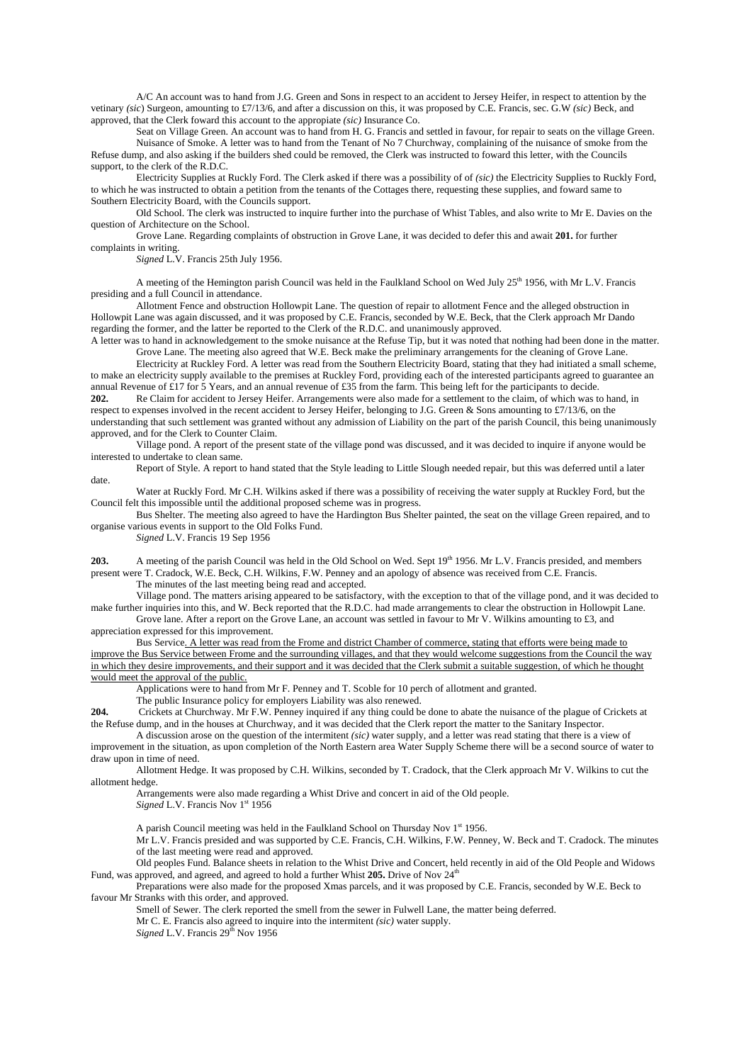A/C An account was to hand from J.G. Green and Sons in respect to an accident to Jersey Heifer, in respect to attention by the vetinary *(sic*) Surgeon, amounting to £7/13/6, and after a discussion on this, it was proposed by C.E. Francis, sec. G.W *(sic)* Beck, and approved, that the Clerk foward this account to the appropiate *(sic)* Insurance Co.

Seat on Village Green. An account was to hand from H. G. Francis and settled in favour, for repair to seats on the village Green. Nuisance of Smoke. A letter was to hand from the Tenant of No 7 Churchway, complaining of the nuisance of smoke from the Refuse dump, and also asking if the builders shed could be removed, the Clerk was instructed to foward this letter, with the Councils support, to the clerk of the R.D.C.

Electricity Supplies at Ruckly Ford. The Clerk asked if there was a possibility of of *(sic)* the Electricity Supplies to Ruckly Ford, to which he was instructed to obtain a petition from the tenants of the Cottages there, requesting these supplies, and foward same to Southern Electricity Board, with the Councils support.

Old School. The clerk was instructed to inquire further into the purchase of Whist Tables, and also write to Mr E. Davies on the question of Architecture on the School.

Grove Lane. Regarding complaints of obstruction in Grove Lane, it was decided to defer this and await **201.** for further complaints in writing.

*Signed* L.V. Francis 25th July 1956.

A meeting of the Hemington parish Council was held in the Faulkland School on Wed July  $25<sup>th</sup>$  1956, with Mr L.V. Francis presiding and a full Council in attendance.

Allotment Fence and obstruction Hollowpit Lane. The question of repair to allotment Fence and the alleged obstruction in Hollowpit Lane was again discussed, and it was proposed by C.E. Francis, seconded by W.E. Beck, that the Clerk approach Mr Dando regarding the former, and the latter be reported to the Clerk of the R.D.C. and unanimously approved.

A letter was to hand in acknowledgement to the smoke nuisance at the Refuse Tip, but it was noted that nothing had been done in the matter. Grove Lane. The meeting also agreed that W.E. Beck make the preliminary arrangements for the cleaning of Grove Lane.

Electricity at Ruckley Ford. A letter was read from the Southern Electricity Board, stating that they had initiated a small scheme, to make an electricity supply available to the premises at Ruckley Ford, providing each of the interested participants agreed to guarantee an annual Revenue of £17 for 5 Years, and an annual revenue of £35 from the farm. This being left for the participants to decide.<br>202. Re Claim for accident to Jersey Heifer. Arrangements were also made for a settlement to t

**202.** Re Claim for accident to Jersey Heifer. Arrangements were also made for a settlement to the claim, of which was to hand, in respect to expenses involved in the recent accident to Jersey Heifer, belonging to J.G. Green & Sons amounting to £7/13/6, on the understanding that such settlement was granted without any admission of Liability on the part of the parish Council, this being unanimously approved, and for the Clerk to Counter Claim.

Village pond. A report of the present state of the village pond was discussed, and it was decided to inquire if anyone would be interested to undertake to clean same.

Report of Style. A report to hand stated that the Style leading to Little Slough needed repair, but this was deferred until a later date.

Water at Ruckly Ford. Mr C.H. Wilkins asked if there was a possibility of receiving the water supply at Ruckley Ford, but the Council felt this impossible until the additional proposed scheme was in progress.

Bus Shelter. The meeting also agreed to have the Hardington Bus Shelter painted, the seat on the village Green repaired, and to organise various events in support to the Old Folks Fund.

*Signed* L.V. Francis 19 Sep 1956

**203.** A meeting of the parish Council was held in the Old School on Wed. Sept 19<sup>th</sup> 1956. Mr L.V. Francis presided, and members present were T. Cradock, W.E. Beck, C.H. Wilkins, F.W. Penney and an apology of absence was received from C.E. Francis.

The minutes of the last meeting being read and accepted.

Village pond. The matters arising appeared to be satisfactory, with the exception to that of the village pond, and it was decided to make further inquiries into this, and W. Beck reported that the R.D.C. had made arrangements to clear the obstruction in Hollowpit Lane.

Grove lane. After a report on the Grove Lane, an account was settled in favour to Mr V. Wilkins amounting to £3, and appreciation expressed for this improvement.

Bus Service. A letter was read from the Frome and district Chamber of commerce, stating that efforts were being made to improve the Bus Service between Frome and the surrounding villages, and that they would welcome suggestions from the Council the way in which they desire improvements, and their support and it was decided that the Clerk submit a suitable suggestion, of which he thought would meet the approval of the public.

Applications were to hand from Mr F. Penney and T. Scoble for 10 perch of allotment and granted.

The public Insurance policy for employers Liability was also renewed.

**204.** Crickets at Churchway. Mr F.W. Penney inquired if any thing could be done to abate the nuisance of the plague of Crickets at the Refuse dump, and in the houses at Churchway, and it was decided that the Clerk report the matter to the Sanitary Inspector.

A discussion arose on the question of the intermitent *(sic)* water supply, and a letter was read stating that there is a view of improvement in the situation, as upon completion of the North Eastern area Water Supply Scheme there will be a second source of water to draw upon in time of need.

Allotment Hedge. It was proposed by C.H. Wilkins, seconded by T. Cradock, that the Clerk approach Mr V. Wilkins to cut the allotment hedge.

Arrangements were also made regarding a Whist Drive and concert in aid of the Old people.

*Signed* L.V. Francis Nov 1st 1956

A parish Council meeting was held in the Faulkland School on Thursday Nov 1st 1956.

Mr L.V. Francis presided and was supported by C.E. Francis, C.H. Wilkins, F.W. Penney, W. Beck and T. Cradock. The minutes of the last meeting were read and approved.

Old peoples Fund. Balance sheets in relation to the Whist Drive and Concert, held recently in aid of the Old People and Widows Fund, was approved, and agreed, and agreed to hold a further Whist 205. Drive of Nov 24<sup>th</sup>

Preparations were also made for the proposed Xmas parcels, and it was proposed by C.E. Francis, seconded by W.E. Beck to favour Mr Stranks with this order, and approved.

Smell of Sewer. The clerk reported the smell from the sewer in Fulwell Lane, the matter being deferred.

Mr C. E. Francis also agreed to inquire into the intermitent *(sic)* water supply.

*Signed* L.V. Francis 29<sup>th</sup> Nov 1956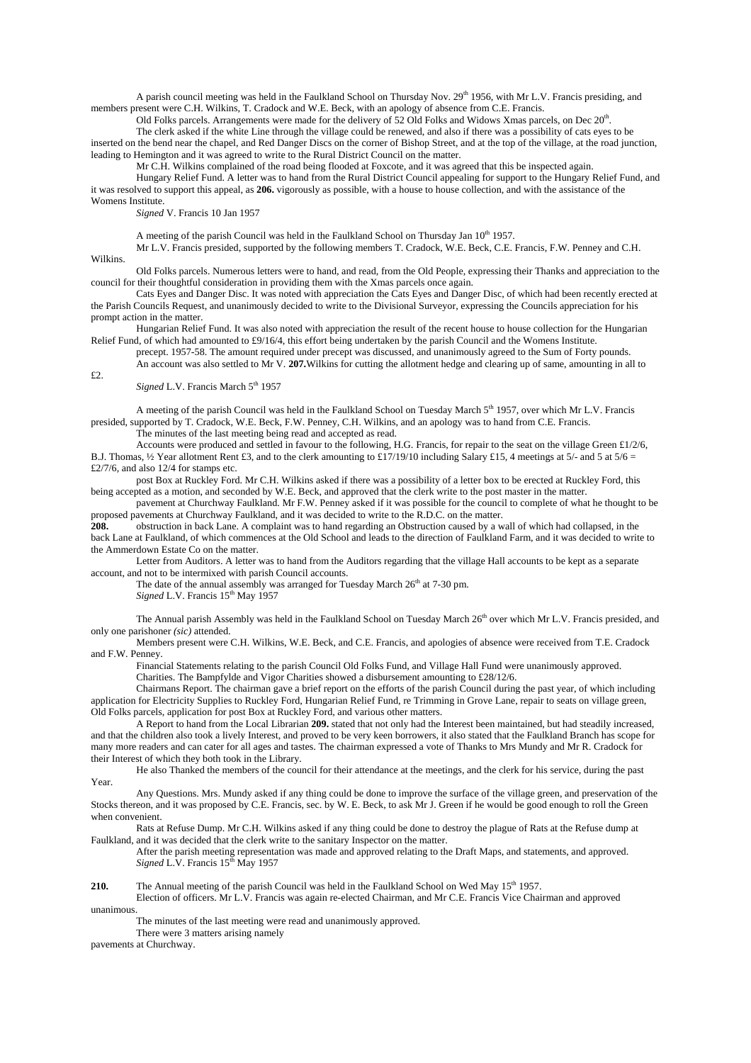A parish council meeting was held in the Faulkland School on Thursday Nov.  $29<sup>th</sup> 1956$ , with Mr L.V. Francis presiding, and members present were C.H. Wilkins, T. Cradock and W.E. Beck, with an apology of absence from C.E. Francis.

Old Folks parcels. Arrangements were made for the delivery of 52 Old Folks and Widows Xmas parcels, on Dec 20<sup>th</sup>. The clerk asked if the white Line through the village could be renewed, and also if there was a possibility of cats eyes to be

inserted on the bend near the chapel, and Red Danger Discs on the corner of Bishop Street, and at the top of the village, at the road junction, leading to Hemington and it was agreed to write to the Rural District Council on the matter.

Mr C.H. Wilkins complained of the road being flooded at Foxcote, and it was agreed that this be inspected again.

Hungary Relief Fund. A letter was to hand from the Rural District Council appealing for support to the Hungary Relief Fund, and it was resolved to support this appeal, as **206.** vigorously as possible, with a house to house collection, and with the assistance of the Womens Institute.

*Signed* V. Francis 10 Jan 1957

A meeting of the parish Council was held in the Faulkland School on Thursday Jan 10<sup>th</sup> 1957.

Mr L.V. Francis presided, supported by the following members T. Cradock, W.E. Beck, C.E. Francis, F.W. Penney and C.H.

Wilkins.

£2.

Old Folks parcels. Numerous letters were to hand, and read, from the Old People, expressing their Thanks and appreciation to the council for their thoughtful consideration in providing them with the Xmas parcels once again.

Cats Eyes and Danger Disc. It was noted with appreciation the Cats Eyes and Danger Disc, of which had been recently erected at the Parish Councils Request, and unanimously decided to write to the Divisional Surveyor, expressing the Councils appreciation for his prompt action in the matter.

Hungarian Relief Fund. It was also noted with appreciation the result of the recent house to house collection for the Hungarian Relief Fund, of which had amounted to  $\frac{29}{16/4}$ , this effort being undertaken by the parish Council and the Womens Institute.

precept. 1957-58. The amount required under precept was discussed, and unanimously agreed to the Sum of Forty pounds. An account was also settled to Mr V. **207.**Wilkins for cutting the allotment hedge and clearing up of same, amounting in all to

*Signed* L.V. Francis March 5<sup>th</sup> 1957

A meeting of the parish Council was held in the Faulkland School on Tuesday March 5<sup>th</sup> 1957, over which Mr L.V. Francis presided, supported by T. Cradock, W.E. Beck, F.W. Penney, C.H. Wilkins, and an apology was to hand from C.E. Francis.

The minutes of the last meeting being read and accepted as read.

Accounts were produced and settled in favour to the following, H.G. Francis, for repair to the seat on the village Green £1/2/6, B.J. Thomas,  $\frac{1}{2}$  Year allotment Rent £3, and to the clerk amounting to £17/19/10 including Salary £15, 4 meetings at 5/- and 5 at 5/6 = £2/7/6, and also 12/4 for stamps etc.

post Box at Ruckley Ford. Mr C.H. Wilkins asked if there was a possibility of a letter box to be erected at Ruckley Ford, this being accepted as a motion, and seconded by W.E. Beck, and approved that the clerk write to the post master in the matter.

pavement at Churchway Faulkland. Mr F.W. Penney asked if it was possible for the council to complete of what he thought to be proposed pavements at Churchway Faulkland, and it was decided to write to the R.D.C. on the matter.<br>208. Construction in back Lane. A complaint was to hand regarding an Obstruction caused by a w

**208.** obstruction in back Lane. A complaint was to hand regarding an Obstruction caused by a wall of which had collapsed, in the back Lane at Faulkland, of which commences at the Old School and leads to the direction of Faulkland Farm, and it was decided to write to the Ammerdown Estate Co on the matter.

Letter from Auditors. A letter was to hand from the Auditors regarding that the village Hall accounts to be kept as a separate account, and not to be intermixed with parish Council accounts.

The date of the annual assembly was arranged for Tuesday March  $26<sup>th</sup>$  at 7-30 pm.

*Signed* L.V. Francis  $15<sup>th</sup>$  May 1957

The Annual parish Assembly was held in the Faulkland School on Tuesday March 26<sup>th</sup> over which Mr L.V. Francis presided, and only one parishoner *(sic)* attended.

Members present were C.H. Wilkins, W.E. Beck, and C.E. Francis, and apologies of absence were received from T.E. Cradock and F.W. Penney.

Financial Statements relating to the parish Council Old Folks Fund, and Village Hall Fund were unanimously approved. Charities. The Bampfylde and Vigor Charities showed a disbursement amounting to £28/12/6.

Chairmans Report. The chairman gave a brief report on the efforts of the parish Council during the past year, of which including application for Electricity Supplies to Ruckley Ford, Hungarian Relief Fund, re Trimming in Grove Lane, repair to seats on village green, Old Folks parcels, application for post Box at Ruckley Ford, and various other matters.

A Report to hand from the Local Librarian **209.** stated that not only had the Interest been maintained, but had steadily increased, and that the children also took a lively Interest, and proved to be very keen borrowers, it also stated that the Faulkland Branch has scope for many more readers and can cater for all ages and tastes. The chairman expressed a vote of Thanks to Mrs Mundy and Mr R. Cradock for their Interest of which they both took in the Library.

He also Thanked the members of the council for their attendance at the meetings, and the clerk for his service, during the past Year.

Any Questions. Mrs. Mundy asked if any thing could be done to improve the surface of the village green, and preservation of the Stocks thereon, and it was proposed by C.E. Francis, sec. by W. E. Beck, to ask Mr J. Green if he would be good enough to roll the Green when convenient.

Rats at Refuse Dump. Mr C.H. Wilkins asked if any thing could be done to destroy the plague of Rats at the Refuse dump at Faulkland, and it was decided that the clerk write to the sanitary Inspector on the matter.

After the parish meeting representation was made and approved relating to the Draft Maps, and statements, and approved. *Signed* L.V. Francis 15<sup>th</sup> May 1957

**210.** The Annual meeting of the parish Council was held in the Faulkland School on Wed May 15<sup>th</sup> 1957.

Election of officers. Mr L.V. Francis was again re-elected Chairman, and Mr C.E. Francis Vice Chairman and approved unanimous.

The minutes of the last meeting were read and unanimously approved.

There were 3 matters arising namely

pavements at Churchway.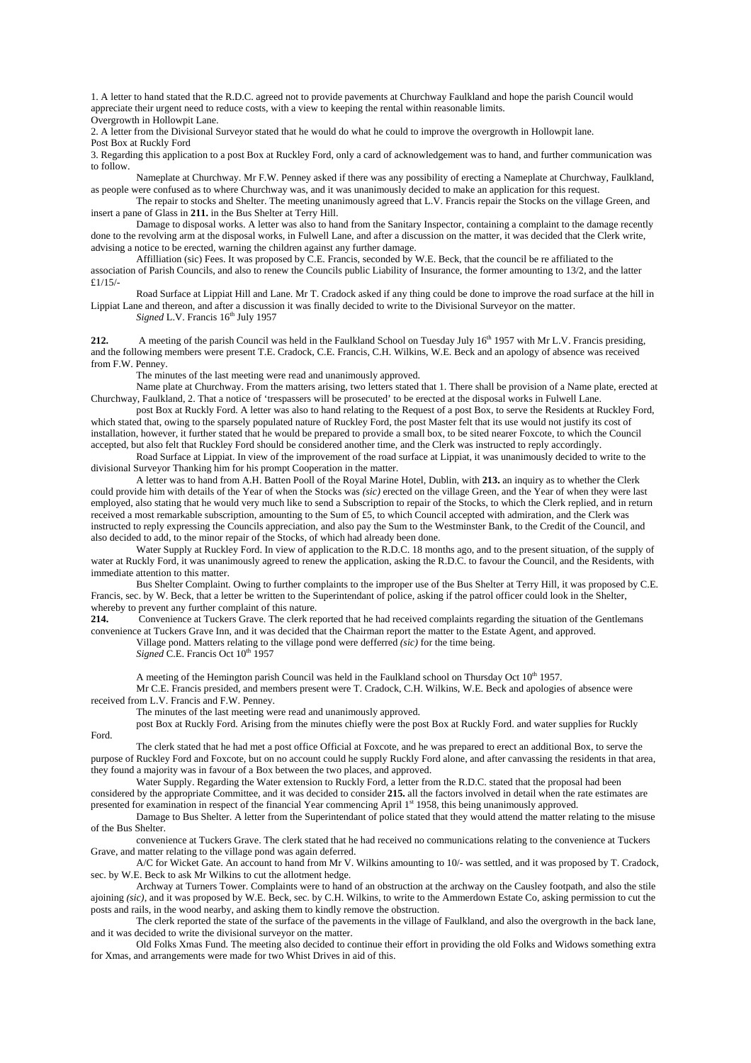1. A letter to hand stated that the R.D.C. agreed not to provide pavements at Churchway Faulkland and hope the parish Council would appreciate their urgent need to reduce costs, with a view to keeping the rental within reasonable limits. Overgrowth in Hollowpit Lane.

2. A letter from the Divisional Surveyor stated that he would do what he could to improve the overgrowth in Hollowpit lane.

Post Box at Ruckly Ford

3. Regarding this application to a post Box at Ruckley Ford, only a card of acknowledgement was to hand, and further communication was to follow.

Nameplate at Churchway. Mr F.W. Penney asked if there was any possibility of erecting a Nameplate at Churchway, Faulkland, as people were confused as to where Churchway was, and it was unanimously decided to make an application for this request.

The repair to stocks and Shelter. The meeting unanimously agreed that L.V. Francis repair the Stocks on the village Green, and insert a pane of Glass in **211.** in the Bus Shelter at Terry Hill.

Damage to disposal works. A letter was also to hand from the Sanitary Inspector, containing a complaint to the damage recently done to the revolving arm at the disposal works, in Fulwell Lane, and after a discussion on the matter, it was decided that the Clerk write, advising a notice to be erected, warning the children against any further damage.

Affilliation (sic) Fees. It was proposed by C.E. Francis, seconded by W.E. Beck, that the council be re affiliated to the association of Parish Councils, and also to renew the Councils public Liability of Insurance, the former amounting to 13/2, and the latter £1/15/-

Road Surface at Lippiat Hill and Lane. Mr T. Cradock asked if any thing could be done to improve the road surface at the hill in Lippiat Lane and thereon, and after a discussion it was finally decided to write to the Divisional Surveyor on the matter. *Signed L.V. Francis*  $16<sup>th</sup>$  July 1957

**212.** A meeting of the parish Council was held in the Faulkland School on Tuesday July 16<sup>th</sup> 1957 with Mr L.V. Francis presiding, and the following members were present T.E. Cradock, C.E. Francis, C.H. Wilkins, W.E. Beck and an apology of absence was received from F.W. Penney.

The minutes of the last meeting were read and unanimously approved.

Name plate at Churchway. From the matters arising, two letters stated that 1. There shall be provision of a Name plate, erected at Churchway, Faulkland, 2. That a notice of 'trespassers will be prosecuted' to be erected at the disposal works in Fulwell Lane.

post Box at Ruckly Ford. A letter was also to hand relating to the Request of a post Box, to serve the Residents at Ruckley Ford, which stated that, owing to the sparsely populated nature of Ruckley Ford, the post Master felt that its use would not justify its cost of installation, however, it further stated that he would be prepared to provide a small box, to be sited nearer Foxcote, to which the Council accepted, but also felt that Ruckley Ford should be considered another time, and the Clerk was instructed to reply accordingly.

Road Surface at Lippiat. In view of the improvement of the road surface at Lippiat, it was unanimously decided to write to the divisional Surveyor Thanking him for his prompt Cooperation in the matter.

A letter was to hand from A.H. Batten Pooll of the Royal Marine Hotel, Dublin, with **213.** an inquiry as to whether the Clerk could provide him with details of the Year of when the Stocks was *(sic)* erected on the village Green, and the Year of when they were last employed, also stating that he would very much like to send a Subscription to repair of the Stocks, to which the Clerk replied, and in return received a most remarkable subscription, amounting to the Sum of £5, to which Council accepted with admiration, and the Clerk was instructed to reply expressing the Councils appreciation, and also pay the Sum to the Westminster Bank, to the Credit of the Council, and also decided to add, to the minor repair of the Stocks, of which had already been done.

Water Supply at Ruckley Ford. In view of application to the R.D.C. 18 months ago, and to the present situation, of the supply of water at Ruckly Ford, it was unanimously agreed to renew the application, asking the R.D.C. to favour the Council, and the Residents, with immediate attention to this matter.

Bus Shelter Complaint. Owing to further complaints to the improper use of the Bus Shelter at Terry Hill, it was proposed by C.E. Francis, sec. by W. Beck, that a letter be written to the Superintendant of police, asking if the patrol officer could look in the Shelter, whereby to prevent any further complaint of this nature.

**214.** Convenience at Tuckers Grave. The clerk reported that he had received complaints regarding the situation of the Gentlemans convenience at Tuckers Grave Inn, and it was decided that the Chairman report the matter to the Estate Agent, and approved.

Village pond. Matters relating to the village pond were defferred *(sic)* for the time being.

*Signed* C.E. Francis Oct 10<sup>th</sup> 1957

A meeting of the Hemington parish Council was held in the Faulkland school on Thursday Oct  $10<sup>th</sup> 1957$ .

Mr C.E. Francis presided, and members present were T. Cradock, C.H. Wilkins, W.E. Beck and apologies of absence were received from L.V. Francis and F.W. Penney.

The minutes of the last meeting were read and unanimously approved.

post Box at Ruckly Ford. Arising from the minutes chiefly were the post Box at Ruckly Ford. and water supplies for Ruckly

The clerk stated that he had met a post office Official at Foxcote, and he was prepared to erect an additional Box, to serve the purpose of Ruckley Ford and Foxcote, but on no account could he supply Ruckly Ford alone, and after canvassing the residents in that area, they found a majority was in favour of a Box between the two places, and approved.

Water Supply. Regarding the Water extension to Ruckly Ford, a letter from the R.D.C. stated that the proposal had been considered by the appropriate Committee, and it was decided to consider **215.** all the factors involved in detail when the rate estimates are

presented for examination in respect of the financial Year commencing April 1st 1958, this being unanimously approved. Damage to Bus Shelter. A letter from the Superintendant of police stated that they would attend the matter relating to the misuse

of the Bus Shelter.

Ford.

convenience at Tuckers Grave. The clerk stated that he had received no communications relating to the convenience at Tuckers Grave, and matter relating to the village pond was again deferred.

A/C for Wicket Gate. An account to hand from Mr V. Wilkins amounting to 10/- was settled, and it was proposed by T. Cradock, sec. by W.E. Beck to ask Mr Wilkins to cut the allotment hedge.

Archway at Turners Tower. Complaints were to hand of an obstruction at the archway on the Causley footpath, and also the stile ajoining *(sic),* and it was proposed by W.E. Beck, sec. by C.H. Wilkins, to write to the Ammerdown Estate Co, asking permission to cut the posts and rails, in the wood nearby, and asking them to kindly remove the obstruction.

The clerk reported the state of the surface of the pavements in the village of Faulkland, and also the overgrowth in the back lane, and it was decided to write the divisional surveyor on the matter.

Old Folks Xmas Fund. The meeting also decided to continue their effort in providing the old Folks and Widows something extra for Xmas, and arrangements were made for two Whist Drives in aid of this.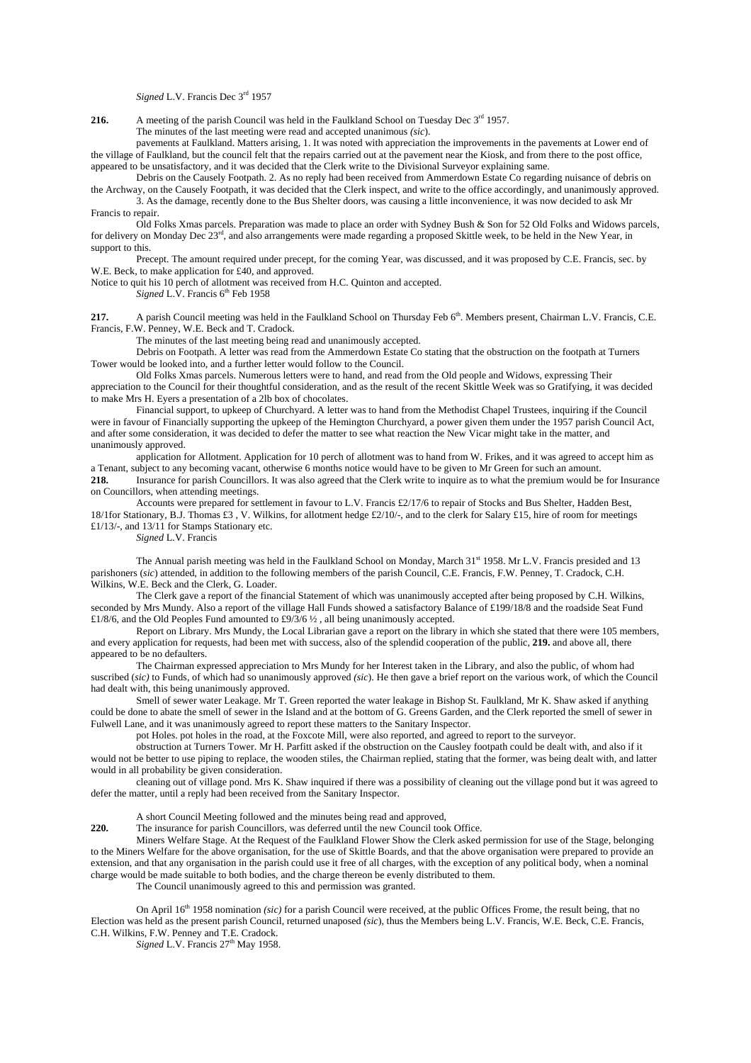*Signed* L.V. Francis Dec 3rd 1957

**216.** A meeting of the parish Council was held in the Faulkland School on Tuesday Dec 3<sup>rd</sup> 1957.

The minutes of the last meeting were read and accepted unanimous *(sic*).

pavements at Faulkland. Matters arising, 1. It was noted with appreciation the improvements in the pavements at Lower end of the village of Faulkland, but the council felt that the repairs carried out at the pavement near the Kiosk, and from there to the post office, appeared to be unsatisfactory, and it was decided that the Clerk write to the Divisional Surveyor explaining same.

Debris on the Causely Footpath. 2. As no reply had been received from Ammerdown Estate Co regarding nuisance of debris on the Archway, on the Causely Footpath, it was decided that the Clerk inspect, and write to the office accordingly, and unanimously approved. 3. As the damage, recently done to the Bus Shelter doors, was causing a little inconvenience, it was now decided to ask Mr

Francis to repair. Old Folks Xmas parcels. Preparation was made to place an order with Sydney Bush & Son for 52 Old Folks and Widows parcels, for delivery on Monday Dec  $23<sup>rd</sup>$ , and also arrangements were made regarding a proposed Skittle week, to be held in the New Year, in support to this.

Precept. The amount required under precept, for the coming Year, was discussed, and it was proposed by C.E. Francis, sec. by W.E. Beck, to make application for £40, and approved.

Notice to quit his 10 perch of allotment was received from H.C. Quinton and accepted.

*Signed L.V.* Francis 6<sup>th</sup> Feb 1958

**217.** A parish Council meeting was held in the Faulkland School on Thursday Feb 6<sup>th</sup>. Members present, Chairman L.V. Francis, C.E. Francis, F.W. Penney, W.E. Beck and T. Cradock.

The minutes of the last meeting being read and unanimously accepted.

Debris on Footpath. A letter was read from the Ammerdown Estate Co stating that the obstruction on the footpath at Turners Tower would be looked into, and a further letter would follow to the Council.

Old Folks Xmas parcels. Numerous letters were to hand, and read from the Old people and Widows, expressing Their appreciation to the Council for their thoughtful consideration, and as the result of the recent Skittle Week was so Gratifying, it was decided to make Mrs H. Eyers a presentation of a 2lb box of chocolates.

Financial support, to upkeep of Churchyard. A letter was to hand from the Methodist Chapel Trustees, inquiring if the Council were in favour of Financially supporting the upkeep of the Hemington Churchyard, a power given them under the 1957 parish Council Act, and after some consideration, it was decided to defer the matter to see what reaction the New Vicar might take in the matter, and unanimously approved.

application for Allotment. Application for 10 perch of allotment was to hand from W. Frikes, and it was agreed to accept him as a Tenant, subject to any becoming vacant, otherwise 6 months notice would have to be given to Mr Green for such an amount.

**218.** Insurance for parish Councillors. It was also agreed that the Clerk write to inquire as to what the premium would be for Insurance on Councillors, when attending meetings.

Accounts were prepared for settlement in favour to L.V. Francis £2/17/6 to repair of Stocks and Bus Shelter, Hadden Best, 18/1for Stationary, B.J. Thomas £3 , V. Wilkins, for allotment hedge £2/10/-, and to the clerk for Salary £15, hire of room for meetings £1/13/-, and 13/11 for Stamps Stationary etc.

*Signed* L.V. Francis

The Annual parish meeting was held in the Faulkland School on Monday, March  $31<sup>st</sup>$  1958. Mr L.V. Francis presided and 13 parishoners (*sic*) attended, in addition to the following members of the parish Council, C.E. Francis, F.W. Penney, T. Cradock, C.H. Wilkins, W.E. Beck and the Clerk, G. Loader.

The Clerk gave a report of the financial Statement of which was unanimously accepted after being proposed by C.H. Wilkins, seconded by Mrs Mundy. Also a report of the village Hall Funds showed a satisfactory Balance of £199/18/8 and the roadside Seat Fund £1/8/6, and the Old Peoples Fund amounted to £9/3/6  $\frac{1}{2}$ , all being unanimously accepted.

Report on Library. Mrs Mundy, the Local Librarian gave a report on the library in which she stated that there were 105 members, and every application for requests, had been met with success, also of the splendid cooperation of the public, **219.** and above all, there appeared to be no defaulters.

The Chairman expressed appreciation to Mrs Mundy for her Interest taken in the Library, and also the public, of whom had suscribed (*sic)* to Funds, of which had so unanimously approved *(sic*). He then gave a brief report on the various work, of which the Council had dealt with, this being unanimously approved.

Smell of sewer water Leakage. Mr T. Green reported the water leakage in Bishop St. Faulkland, Mr K. Shaw asked if anything could be done to abate the smell of sewer in the Island and at the bottom of G. Greens Garden, and the Clerk reported the smell of sewer in Fulwell Lane, and it was unanimously agreed to report these matters to the Sanitary Inspector.

pot Holes. pot holes in the road, at the Foxcote Mill, were also reported, and agreed to report to the surveyor.

obstruction at Turners Tower. Mr H. Parfitt asked if the obstruction on the Causley footpath could be dealt with, and also if it would not be better to use piping to replace, the wooden stiles, the Chairman replied, stating that the former, was being dealt with, and latter would in all probability be given consideration.

cleaning out of village pond. Mrs K. Shaw inquired if there was a possibility of cleaning out the village pond but it was agreed to defer the matter, until a reply had been received from the Sanitary Inspector.

A short Council Meeting followed and the minutes being read and approved,

**220.** The insurance for parish Councillors, was deferred until the new Council took Office.

Miners Welfare Stage. At the Request of the Faulkland Flower Show the Clerk asked permission for use of the Stage, belonging to the Miners Welfare for the above organisation, for the use of Skittle Boards, and that the above organisation were prepared to provide an extension, and that any organisation in the parish could use it free of all charges, with the exception of any political body, when a nominal charge would be made suitable to both bodies, and the charge thereon be evenly distributed to them.

The Council unanimously agreed to this and permission was granted.

On April 16<sup>th</sup> 1958 nomination *(sic)* for a parish Council were received, at the public Offices Frome, the result being, that no Election was held as the present parish Council, returned unaposed *(sic*), thus the Members being L.V. Francis, W.E. Beck, C.E. Francis, C.H. Wilkins, F.W. Penney and T.E. Cradock.

*Signed* L.V. Francis 27<sup>th</sup> May 1958.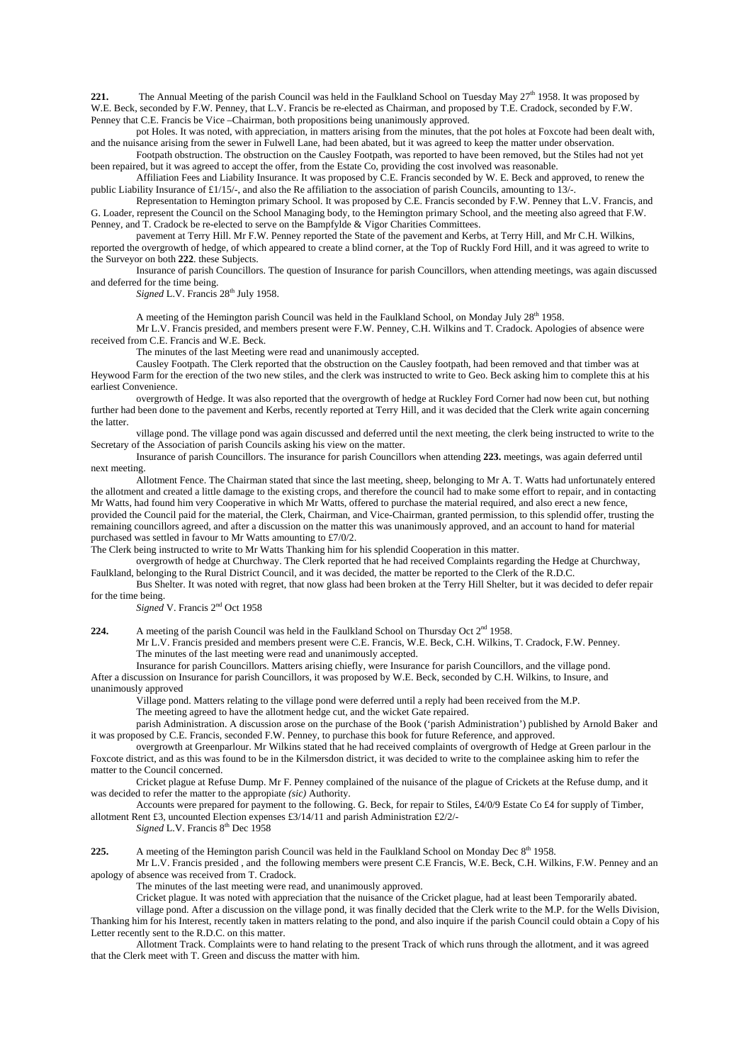**221.** The Annual Meeting of the parish Council was held in the Faulkland School on Tuesday May  $27<sup>th</sup>$  1958. It was proposed by W.E. Beck, seconded by F.W. Penney, that L.V. Francis be re-elected as Chairman, and proposed by T.E. Cradock, seconded by F.W. Penney that C.E. Francis be Vice –Chairman, both propositions being unanimously approved.

pot Holes. It was noted, with appreciation, in matters arising from the minutes, that the pot holes at Foxcote had been dealt with, and the nuisance arising from the sewer in Fulwell Lane, had been abated, but it was agreed to keep the matter under observation.

Footpath obstruction. The obstruction on the Causley Footpath, was reported to have been removed, but the Stiles had not yet been repaired, but it was agreed to accept the offer, from the Estate Co, providing the cost involved was reasonable.

Affiliation Fees and Liability Insurance. It was proposed by C.E. Francis seconded by W. E. Beck and approved, to renew the public Liability Insurance of £1/15/-, and also the Re affiliation to the association of parish Councils, amounting to 13/-.

Representation to Hemington primary School. It was proposed by C.E. Francis seconded by F.W. Penney that L.V. Francis, and G. Loader, represent the Council on the School Managing body, to the Hemington primary School, and the meeting also agreed that F.W. Penney, and T. Cradock be re-elected to serve on the Bampfylde & Vigor Charities Committees.

pavement at Terry Hill. Mr F.W. Penney reported the State of the pavement and Kerbs, at Terry Hill, and Mr C.H. Wilkins, reported the overgrowth of hedge, of which appeared to create a blind corner, at the Top of Ruckly Ford Hill, and it was agreed to write to the Surveyor on both **222**. these Subjects.

Insurance of parish Councillors. The question of Insurance for parish Councillors, when attending meetings, was again discussed and deferred for the time being.

Signed L.V. Francis 28<sup>th</sup> July 1958.

A meeting of the Hemington parish Council was held in the Faulkland School, on Monday July  $28<sup>th</sup>$  1958.

Mr L.V. Francis presided, and members present were F.W. Penney, C.H. Wilkins and T. Cradock. Apologies of absence were received from C.E. Francis and W.E. Beck.

The minutes of the last Meeting were read and unanimously accepted.

Causley Footpath. The Clerk reported that the obstruction on the Causley footpath, had been removed and that timber was at Heywood Farm for the erection of the two new stiles, and the clerk was instructed to write to Geo. Beck asking him to complete this at his earliest Convenience.

overgrowth of Hedge. It was also reported that the overgrowth of hedge at Ruckley Ford Corner had now been cut, but nothing further had been done to the pavement and Kerbs, recently reported at Terry Hill, and it was decided that the Clerk write again concerning the latter.

village pond. The village pond was again discussed and deferred until the next meeting, the clerk being instructed to write to the Secretary of the Association of parish Councils asking his view on the matter.

Insurance of parish Councillors. The insurance for parish Councillors when attending **223.** meetings, was again deferred until next meeting.

Allotment Fence. The Chairman stated that since the last meeting, sheep, belonging to Mr A. T. Watts had unfortunately entered the allotment and created a little damage to the existing crops, and therefore the council had to make some effort to repair, and in contacting Mr Watts, had found him very Cooperative in which Mr Watts, offered to purchase the material required, and also erect a new fence, provided the Council paid for the material, the Clerk, Chairman, and Vice-Chairman, granted permission, to this splendid offer, trusting the remaining councillors agreed, and after a discussion on the matter this was unanimously approved, and an account to hand for material purchased was settled in favour to Mr Watts amounting to £7/0/2.

The Clerk being instructed to write to Mr Watts Thanking him for his splendid Cooperation in this matter.

overgrowth of hedge at Churchway. The Clerk reported that he had received Complaints regarding the Hedge at Churchway, Faulkland, belonging to the Rural District Council, and it was decided, the matter be reported to the Clerk of the R.D.C.

Bus Shelter. It was noted with regret, that now glass had been broken at the Terry Hill Shelter, but it was decided to defer repair for the time being.

*Signed* V. Francis 2nd Oct 1958

224. A meeting of the parish Council was held in the Faulkland School on Thursday Oct 2<sup>nd</sup> 1958.

Mr L.V. Francis presided and members present were C.E. Francis, W.E. Beck, C.H. Wilkins, T. Cradock, F.W. Penney. The minutes of the last meeting were read and unanimously accepted.

Insurance for parish Councillors. Matters arising chiefly, were Insurance for parish Councillors, and the village pond. After a discussion on Insurance for parish Councillors, it was proposed by W.E. Beck, seconded by C.H. Wilkins, to Insure, and unanimously approved

Village pond. Matters relating to the village pond were deferred until a reply had been received from the M.P.

The meeting agreed to have the allotment hedge cut, and the wicket Gate repaired.

parish Administration. A discussion arose on the purchase of the Book ('parish Administration') published by Arnold Baker and it was proposed by C.E. Francis, seconded F.W. Penney, to purchase this book for future Reference, and approved.

overgrowth at Greenparlour. Mr Wilkins stated that he had received complaints of overgrowth of Hedge at Green parlour in the Foxcote district, and as this was found to be in the Kilmersdon district, it was decided to write to the complainee asking him to refer the matter to the Council concerned.

Cricket plague at Refuse Dump. Mr F. Penney complained of the nuisance of the plague of Crickets at the Refuse dump, and it was decided to refer the matter to the appropiate *(sic)* Authority.

Accounts were prepared for payment to the following. G. Beck, for repair to Stiles, £4/0/9 Estate Co £4 for supply of Timber, allotment Rent £3, uncounted Election expenses £3/14/11 and parish Administration £2/2/-

*Signed* L.V. Francis 8<sup>th</sup> Dec 1958

225. A meeting of the Hemington parish Council was held in the Faulkland School on Monday Dec 8<sup>th</sup> 1958.

Mr L.V. Francis presided , and the following members were present C.E Francis, W.E. Beck, C.H. Wilkins, F.W. Penney and an apology of absence was received from T. Cradock.

The minutes of the last meeting were read, and unanimously approved.

Cricket plague. It was noted with appreciation that the nuisance of the Cricket plague, had at least been Temporarily abated.

village pond. After a discussion on the village pond, it was finally decided that the Clerk write to the M.P. for the Wells Division, Thanking him for his Interest, recently taken in matters relating to the pond, and also inquire if the parish Council could obtain a Copy of his Letter recently sent to the R.D.C. on this matter.

Allotment Track. Complaints were to hand relating to the present Track of which runs through the allotment, and it was agreed that the Clerk meet with T. Green and discuss the matter with him.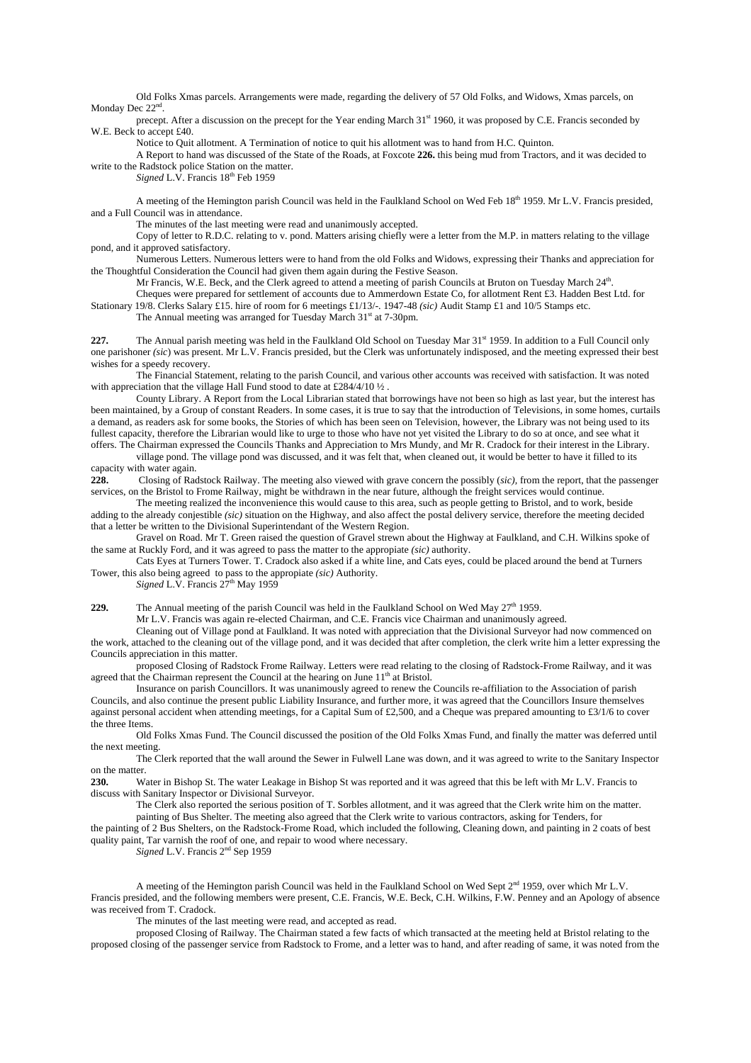Old Folks Xmas parcels. Arrangements were made, regarding the delivery of 57 Old Folks, and Widows, Xmas parcels, on Monday Dec  $22<sup>nc</sup>$ 

precept. After a discussion on the precept for the Year ending March 31<sup>st</sup> 1960, it was proposed by C.E. Francis seconded by W.E. Beck to accept £40.

Notice to Quit allotment. A Termination of notice to quit his allotment was to hand from H.C. Quinton.

A Report to hand was discussed of the State of the Roads, at Foxcote **226.** this being mud from Tractors, and it was decided to write to the Radstock police Station on the matter.

*Signed L.V.* Francis 18<sup>th</sup> Feb 1959

A meeting of the Hemington parish Council was held in the Faulkland School on Wed Feb 18th 1959. Mr L.V. Francis presided, and a Full Council was in attendance.

The minutes of the last meeting were read and unanimously accepted.

Copy of letter to R.D.C. relating to v. pond. Matters arising chiefly were a letter from the M.P. in matters relating to the village pond, and it approved satisfactory.

Numerous Letters. Numerous letters were to hand from the old Folks and Widows, expressing their Thanks and appreciation for the Thoughtful Consideration the Council had given them again during the Festive Season.

Mr Francis, W.E. Beck, and the Clerk agreed to attend a meeting of parish Councils at Bruton on Tuesday March 24<sup>th</sup>.

Cheques were prepared for settlement of accounts due to Ammerdown Estate Co, for allotment Rent £3. Hadden Best Ltd. for Stationary 19/8. Clerks Salary £15. hire of room for 6 meetings £1/13/-. 1947-48 *(sic)* Audit Stamp £1 and 10/5 Stamps etc.

The Annual meeting was arranged for Tuesday March 31<sup>st</sup> at 7-30pm.

**227.** The Annual parish meeting was held in the Faulkland Old School on Tuesday Mar 31<sup>st</sup> 1959. In addition to a Full Council only one parishoner *(sic*) was present. Mr L.V. Francis presided, but the Clerk was unfortunately indisposed, and the meeting expressed their best wishes for a speedy recovery.

The Financial Statement, relating to the parish Council, and various other accounts was received with satisfaction. It was noted with appreciation that the village Hall Fund stood to date at £284/4/10  $\frac{1}{2}$ .

County Library. A Report from the Local Librarian stated that borrowings have not been so high as last year, but the interest has been maintained, by a Group of constant Readers. In some cases, it is true to say that the introduction of Televisions, in some homes, curtails a demand, as readers ask for some books, the Stories of which has been seen on Television, however, the Library was not being used to its fullest capacity, therefore the Librarian would like to urge to those who have not yet visited the Library to do so at once, and see what it offers. The Chairman expressed the Councils Thanks and Appreciation to Mrs Mundy, and Mr R. Cradock for their interest in the Library.

village pond. The village pond was discussed, and it was felt that, when cleaned out, it would be better to have it filled to its capacity with water again.

**228.** Closing of Radstock Railway. The meeting also viewed with grave concern the possibly (*sic),* from the report, that the passenger services, on the Bristol to Frome Railway, might be withdrawn in the near future, although the freight services would continue.

The meeting realized the inconvenience this would cause to this area, such as people getting to Bristol, and to work, beside adding to the already conjestible *(sic)* situation on the Highway, and also affect the postal delivery service, therefore the meeting decided that a letter be written to the Divisional Superintendant of the Western Region.

Gravel on Road. Mr T. Green raised the question of Gravel strewn about the Highway at Faulkland, and C.H. Wilkins spoke of the same at Ruckly Ford, and it was agreed to pass the matter to the appropiate *(sic)* authority.

Cats Eyes at Turners Tower. T. Cradock also asked if a white line, and Cats eyes, could be placed around the bend at Turners Tower, this also being agreed to pass to the appropiate *(sic)* Authority.

*Signed L.V. Francis*  $27<sup>th</sup>$  May 1959

**229.** The Annual meeting of the parish Council was held in the Faulkland School on Wed May 27<sup>th</sup> 1959.

Mr L.V. Francis was again re-elected Chairman, and C.E. Francis vice Chairman and unanimously agreed.

Cleaning out of Village pond at Faulkland. It was noted with appreciation that the Divisional Surveyor had now commenced on the work, attached to the cleaning out of the village pond, and it was decided that after completion, the clerk write him a letter expressing the Councils appreciation in this matter.

proposed Closing of Radstock Frome Railway. Letters were read relating to the closing of Radstock-Frome Railway, and it was agreed that the Chairman represent the Council at the hearing on June 11<sup>th</sup> at Bristol.

Insurance on parish Councillors. It was unanimously agreed to renew the Councils re-affiliation to the Association of parish Councils, and also continue the present public Liability Insurance, and further more, it was agreed that the Councillors Insure themselves against personal accident when attending meetings, for a Capital Sum of £2,500, and a Cheque was prepared amounting to £3/1/6 to cover the three Items.

Old Folks Xmas Fund. The Council discussed the position of the Old Folks Xmas Fund, and finally the matter was deferred until the next meeting.

The Clerk reported that the wall around the Sewer in Fulwell Lane was down, and it was agreed to write to the Sanitary Inspector on the matter.

**230.** Water in Bishop St. The water Leakage in Bishop St was reported and it was agreed that this be left with Mr L.V. Francis to discuss with Sanitary Inspector or Divisional Surveyor.

The Clerk also reported the serious position of T. Sorbles allotment, and it was agreed that the Clerk write him on the matter. painting of Bus Shelter. The meeting also agreed that the Clerk write to various contractors, asking for Tenders, for

the painting of 2 Bus Shelters, on the Radstock-Frome Road, which included the following, Cleaning down, and painting in 2 coats of best quality paint, Tar varnish the roof of one, and repair to wood where necessary.

*Signed* L.V. Francis 2nd Sep 1959

A meeting of the Hemington parish Council was held in the Faulkland School on Wed Sept  $2<sup>nd</sup>$  1959, over which Mr L.V. Francis presided, and the following members were present, C.E. Francis, W.E. Beck, C.H. Wilkins, F.W. Penney and an Apology of absence was received from T. Cradock.

The minutes of the last meeting were read, and accepted as read.

proposed Closing of Railway. The Chairman stated a few facts of which transacted at the meeting held at Bristol relating to the proposed closing of the passenger service from Radstock to Frome, and a letter was to hand, and after reading of same, it was noted from the